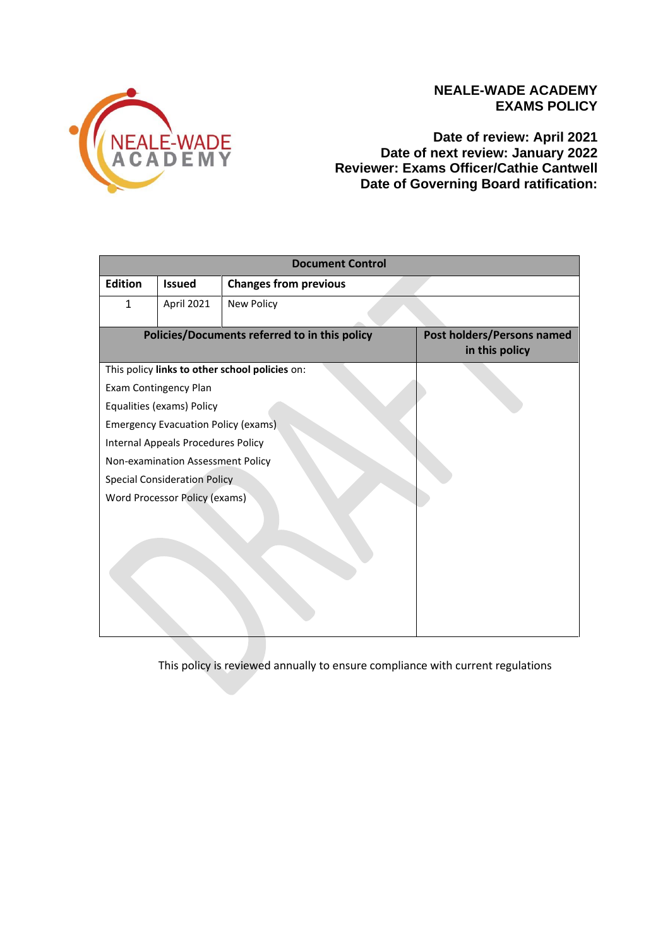

## **NEALE-WADE ACADEMY EXAMS POLICY**

**Date of review: April 2021 Date of next review: January 2022 Reviewer: Exams Officer/Cathie Cantwell Date of Governing Board ratification:** 

| <b>Document Control</b>                       |                                                |                              |                                              |  |  |  |
|-----------------------------------------------|------------------------------------------------|------------------------------|----------------------------------------------|--|--|--|
| <b>Edition</b>                                | <b>Issued</b>                                  | <b>Changes from previous</b> |                                              |  |  |  |
| $\mathbf{1}$                                  | April 2021                                     | New Policy                   |                                              |  |  |  |
| Policies/Documents referred to in this policy |                                                |                              | Post holders/Persons named<br>in this policy |  |  |  |
|                                               | This policy links to other school policies on: |                              |                                              |  |  |  |
|                                               | Exam Contingency Plan                          |                              |                                              |  |  |  |
|                                               | Equalities (exams) Policy                      |                              |                                              |  |  |  |
|                                               | <b>Emergency Evacuation Policy (exams)</b>     |                              |                                              |  |  |  |
|                                               | <b>Internal Appeals Procedures Policy</b>      |                              |                                              |  |  |  |
|                                               | Non-examination Assessment Policy              |                              |                                              |  |  |  |
|                                               | <b>Special Consideration Policy</b>            |                              |                                              |  |  |  |
|                                               | <b>Word Processor Policy (exams)</b>           |                              |                                              |  |  |  |
|                                               |                                                |                              |                                              |  |  |  |

This policy is reviewed annually to ensure compliance with current regulations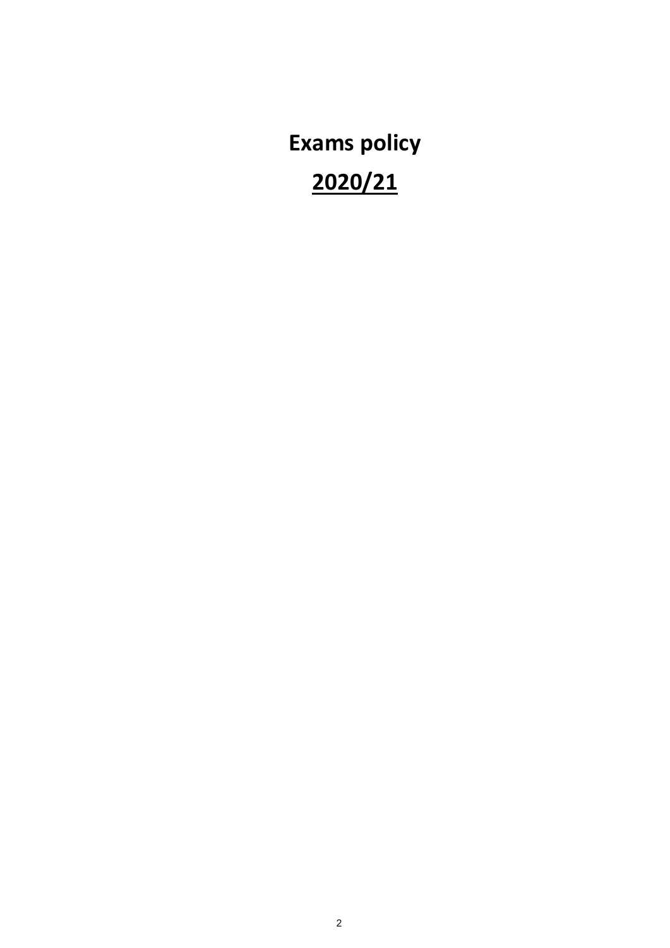**Exams policy 2020/21**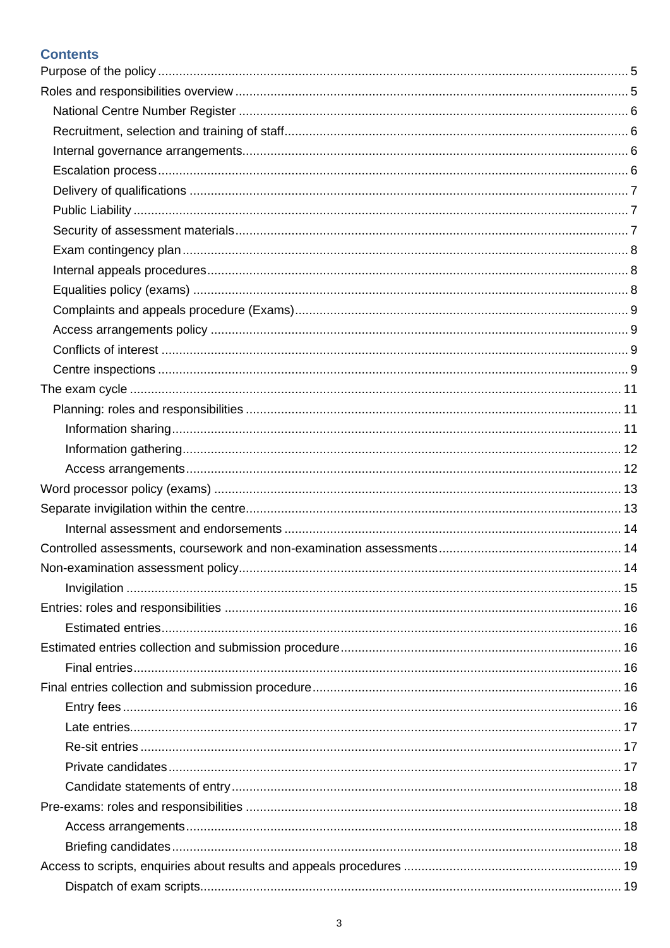## **Contents**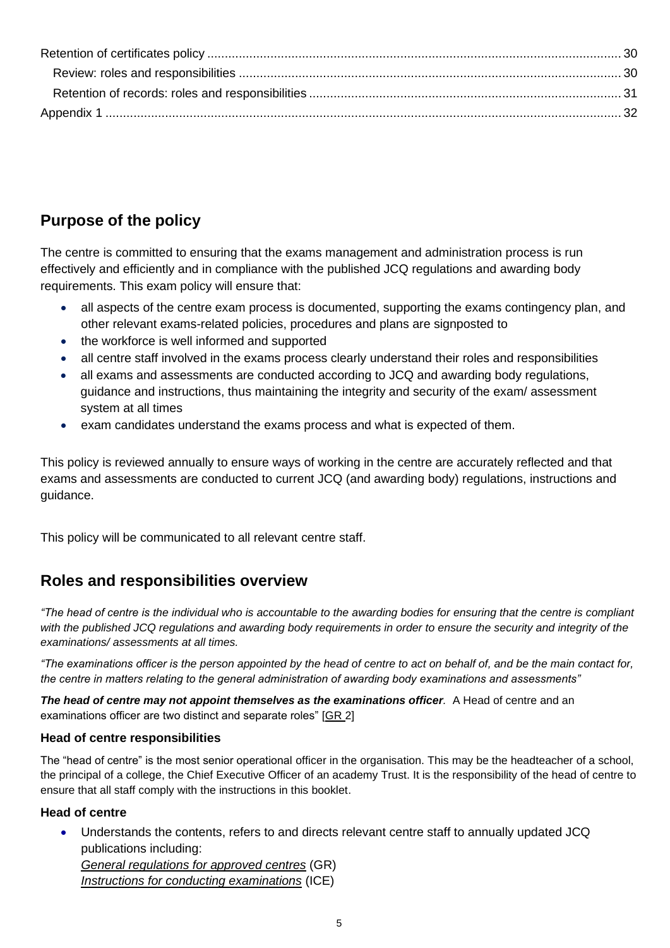# <span id="page-4-0"></span>**Purpose of the policy**

The centre is committed to ensuring that the exams management and administration process is run effectively and efficiently and in compliance with the published JCQ regulations and awarding body requirements. This exam policy will ensure that:

- all aspects of the centre exam process is documented, supporting the exams contingency plan, and other relevant exams-related policies, procedures and plans are signposted to
- the workforce is well informed and supported
- all centre staff involved in the exams process clearly understand their roles and responsibilities
- all exams and assessments are conducted according to JCQ and awarding body regulations, guidance and instructions, thus maintaining the integrity and security of the exam/ assessment system at all times
- exam candidates understand the exams process and what is expected of them.

This policy is reviewed annually to ensure ways of working in the centre are accurately reflected and that exams and assessments are conducted to current JCQ (and awarding body) regulations, instructions and guidance.

This policy will be communicated to all relevant centre staff.

## <span id="page-4-1"></span>**Roles and responsibilities overview**

*"The head of centre is the individual who is accountable to the awarding bodies for ensuring that the centre is compliant*  with the published JCQ regulations and awarding body requirements in order to ensure the security and integrity of the *examinations/ assessments at all times.*

*"The examinations officer is the person appointed by the head of centre to act on behalf of, and be the main contact for, the centre in matters relating to the general administration of awarding body examinations and assessments"*

*The head of centre may not appoint themselves as the examinations officer.* A Head of centre and an examinations officer are two distinct and separate roles" [\[GR](http://www.jcq.org.uk/exams-office/general-regulations) 2]

## **Head of centre responsibilities**

The "head of centre" is the most senior operational officer in the organisation. This may be the headteacher of a school, the principal of a college, the Chief Executive Officer of an academy Trust. It is the responsibility of the head of centre to ensure that all staff comply with the instructions in this booklet.

## **Head of centre**

• Understands the contents, refers to and directs relevant centre staff to annually updated JCQ publications including: *[General regulations for approved centres](http://www.jcq.org.uk/exams-office/general-regulations)* (GR) *[Instructions for conducting examinations](http://www.jcq.org.uk/exams-office/ice---instructions-for-conducting-examinations)* (ICE)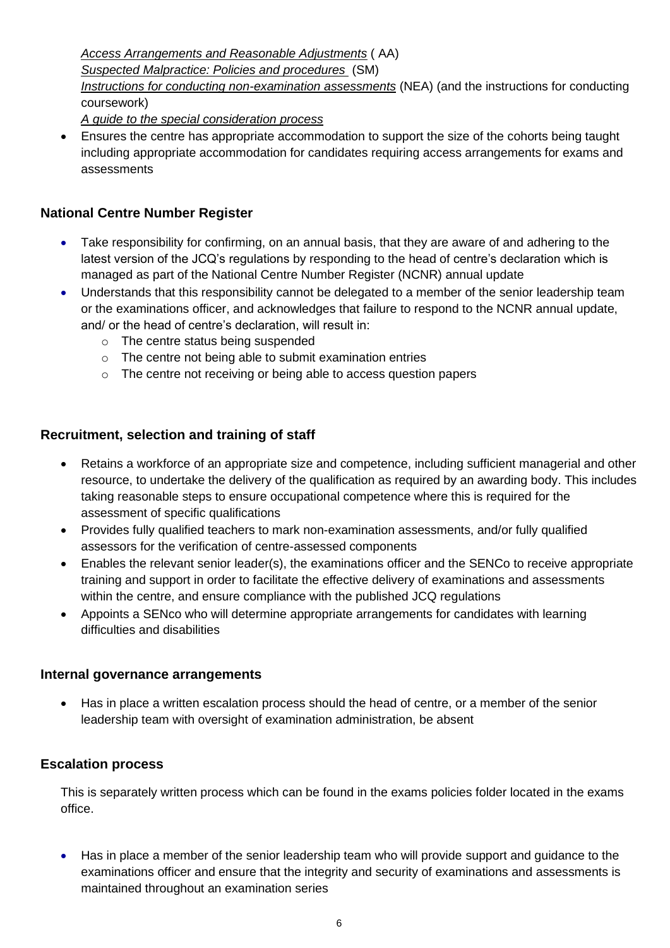*[Access Arrangements and Reasonable Adjustments](http://www.jcq.org.uk/exams-office/access-arrangements-and-special-consideration/regulations-and-guidance)* ( AA) *Suspected Malpractice: [Policies and procedures](http://www.jcq.org.uk/exams-office/malpractice)* (SM) *[Instructions for conducting non-examination assessments](http://www.jcq.org.uk/exams-office/non-examination-assessments)* (NEA) (and the instructions for conducting coursework)

*A guide to the special consideration process*

• Ensures the centre has appropriate accommodation to support the size of the cohorts being taught including appropriate accommodation for candidates requiring access arrangements for exams and assessments

## <span id="page-5-0"></span>**National Centre Number Register**

- Take responsibility for confirming, on an annual basis, that they are aware of and adhering to the latest version of the JCQ's regulations by responding to the head of centre's declaration which is managed as part of the National Centre Number Register (NCNR) annual update
- Understands that this responsibility cannot be delegated to a member of the senior leadership team or the examinations officer, and acknowledges that failure to respond to the NCNR annual update, and/ or the head of centre's declaration, will result in:
	- o The centre status being suspended
	- o The centre not being able to submit examination entries
	- o The centre not receiving or being able to access question papers

## <span id="page-5-1"></span>**Recruitment, selection and training of staff**

- Retains a workforce of an appropriate size and competence, including sufficient managerial and other resource, to undertake the delivery of the qualification as required by an awarding body. This includes taking reasonable steps to ensure occupational competence where this is required for the assessment of specific qualifications
- Provides fully qualified teachers to mark non-examination assessments, and/or fully qualified assessors for the verification of centre-assessed components
- Enables the relevant senior leader(s), the examinations officer and the SENCo to receive appropriate training and support in order to facilitate the effective delivery of examinations and assessments within the centre, and ensure compliance with the published JCQ regulations
- Appoints a SENco who will determine appropriate arrangements for candidates with learning difficulties and disabilities

## <span id="page-5-2"></span>**Internal governance arrangements**

• Has in place a written escalation process should the head of centre, or a member of the senior leadership team with oversight of examination administration, be absent

## <span id="page-5-3"></span>**Escalation process**

This is separately written process which can be found in the exams policies folder located in the exams office.

• Has in place a member of the senior leadership team who will provide support and guidance to the examinations officer and ensure that the integrity and security of examinations and assessments is maintained throughout an examination series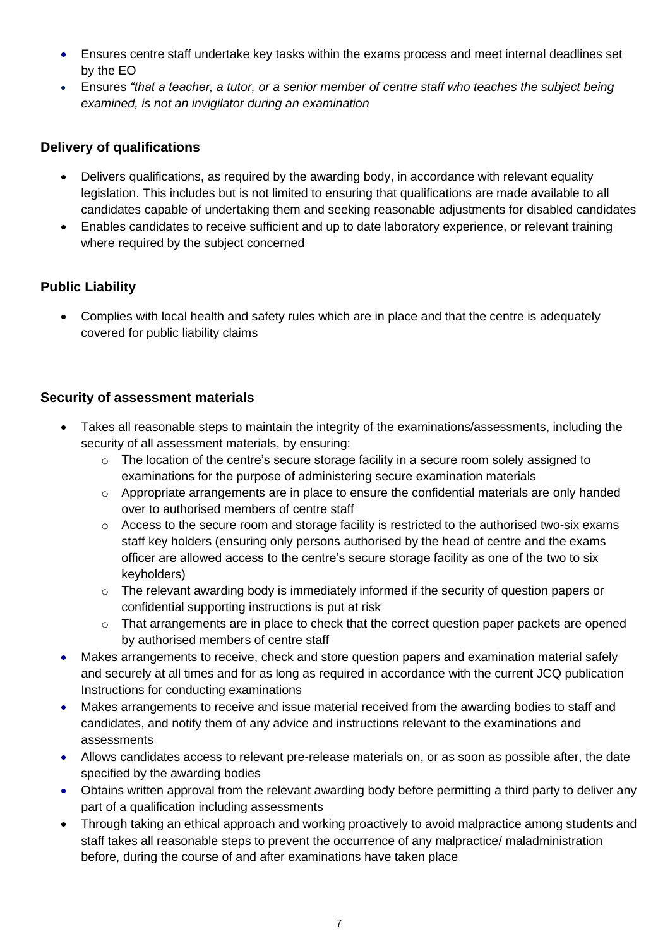- Ensures centre staff undertake key tasks within the exams process and meet internal deadlines set by the EO
- Ensures *"that a teacher, a tutor, or a senior member of centre staff who teaches the subject being examined, is not an invigilator during an examination*

## <span id="page-6-0"></span>**Delivery of qualifications**

- Delivers qualifications, as required by the awarding body, in accordance with relevant equality legislation. This includes but is not limited to ensuring that qualifications are made available to all candidates capable of undertaking them and seeking reasonable adjustments for disabled candidates
- Enables candidates to receive sufficient and up to date laboratory experience, or relevant training where required by the subject concerned

## <span id="page-6-1"></span>**Public Liability**

• Complies with local health and safety rules which are in place and that the centre is adequately covered for public liability claims

## <span id="page-6-2"></span>**Security of assessment materials**

- Takes all reasonable steps to maintain the integrity of the examinations/assessments, including the security of all assessment materials, by ensuring:
	- o The location of the centre's secure storage facility in a secure room solely assigned to examinations for the purpose of administering secure examination materials
	- $\circ$  Appropriate arrangements are in place to ensure the confidential materials are only handed over to authorised members of centre staff
	- o Access to the secure room and storage facility is restricted to the authorised two-six exams staff key holders (ensuring only persons authorised by the head of centre and the exams officer are allowed access to the centre's secure storage facility as one of the two to six keyholders)
	- $\circ$  The relevant awarding body is immediately informed if the security of question papers or confidential supporting instructions is put at risk
	- o That arrangements are in place to check that the correct question paper packets are opened by authorised members of centre staff
- Makes arrangements to receive, check and store question papers and examination material safely and securely at all times and for as long as required in accordance with the current JCQ publication Instructions for conducting examinations
- Makes arrangements to receive and issue material received from the awarding bodies to staff and candidates, and notify them of any advice and instructions relevant to the examinations and assessments
- Allows candidates access to relevant pre-release materials on, or as soon as possible after, the date specified by the awarding bodies
- Obtains written approval from the relevant awarding body before permitting a third party to deliver any part of a qualification including assessments
- Through taking an ethical approach and working proactively to avoid malpractice among students and staff takes all reasonable steps to prevent the occurrence of any malpractice/ maladministration before, during the course of and after examinations have taken place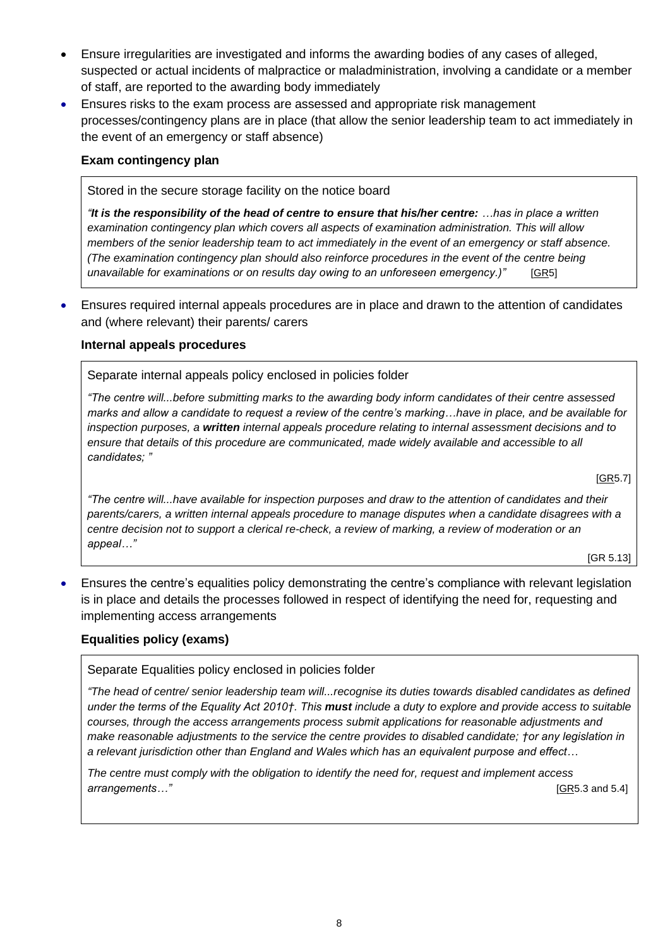- Ensure irregularities are investigated and informs the awarding bodies of any cases of alleged, suspected or actual incidents of malpractice or maladministration, involving a candidate or a member of staff, are reported to the awarding body immediately
- Ensures risks to the exam process are assessed and appropriate risk management processes/contingency plans are in place (that allow the senior leadership team to act immediately in the event of an emergency or staff absence)

#### <span id="page-7-0"></span>**Exam contingency plan**

Stored in the secure storage facility on the notice board

*"It is the responsibility of the head of centre to ensure that his/her centre: …has in place a written examination contingency plan which covers all aspects of examination administration. This will allow members of the senior leadership team to act immediately in the event of an emergency or staff absence. (The examination contingency plan should also reinforce procedures in the event of the centre being unavailable for examinations or on results day owing to an unforeseen emergency.)"* [\[GR5](http://www.jcq.org.uk/exams-office/general-regulations)]

• Ensures required internal appeals procedures are in place and drawn to the attention of candidates and (where relevant) their parents/ carers

#### <span id="page-7-1"></span>**Internal appeals procedures**

Separate internal appeals policy enclosed in policies folder

*"The centre will...before submitting marks to the awarding body inform candidates of their centre assessed marks and allow a candidate to request a review of the centre's marking…have in place, and be available for inspection purposes, a written internal appeals procedure relating to internal assessment decisions and to ensure that details of this procedure are communicated, made widely available and accessible to all candidates; "* 

[\[GR5](http://www.jcq.org.uk/exams-office/general-regulations).7]

*"The centre will...have available for inspection purposes and draw to the attention of candidates and their parents/carers, a written internal appeals procedure to manage disputes when a candidate disagrees with a centre decision not to support a clerical re-check, a review of marking, a review of moderation or an appeal…"*

[GR 5.13]

• Ensures the centre's equalities policy demonstrating the centre's compliance with relevant legislation is in place and details the processes followed in respect of identifying the need for, requesting and implementing access arrangements

#### <span id="page-7-2"></span>**Equalities policy (exams)**

Separate Equalities policy enclosed in policies folder

*"The head of centre/ senior leadership team will...recognise its duties towards disabled candidates as defined under the terms of the Equality Act 2010†. This must include a duty to explore and provide access to suitable courses, through the access arrangements process submit applications for reasonable adjustments and make reasonable adjustments to the service the centre provides to disabled candidate; †or any legislation in a relevant jurisdiction other than England and Wales which has an equivalent purpose and effect…*

*The centre must comply with the obligation to identify the need for, request and implement access arrangements…"* [\[GR5](http://www.jcq.org.uk/exams-office/general-regulations).3 and 5.4]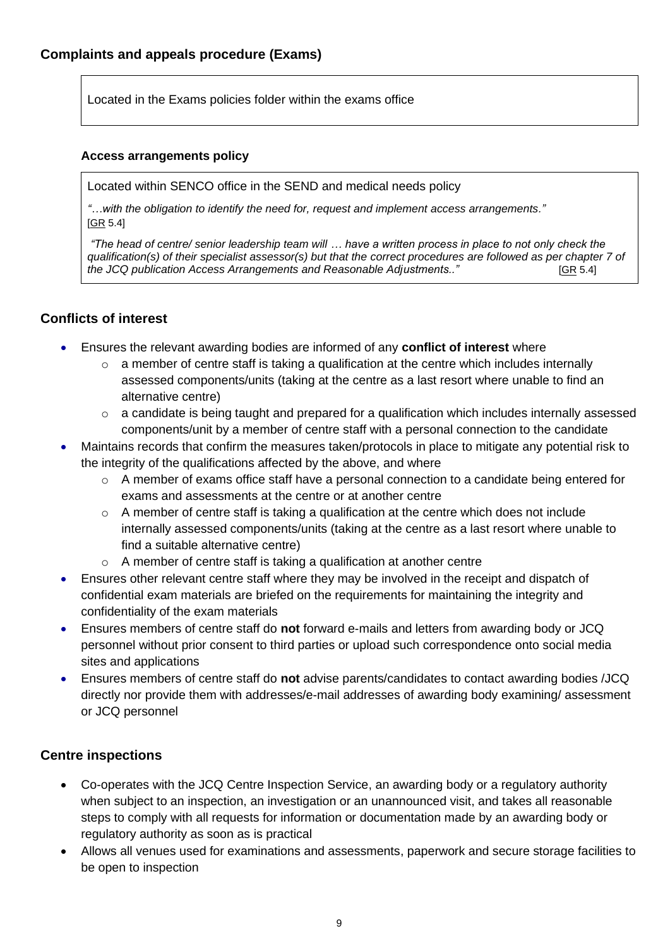<span id="page-8-0"></span>Located in the Exams policies folder within the exams office

#### <span id="page-8-1"></span>**Access arrangements policy**

Located within SENCO office in the SEND and medical needs policy

*"…with the obligation to identify the need for, request and implement access arrangements."*  [\[GR](http://www.jcq.org.uk/exams-office/general-regulations) 5.4]

*"The head of centre/ senior leadership team will … have a written process in place to not only check the qualification(s) of their specialist assessor(s) but that the correct procedures are followed as per chapter 7 of the JCQ publication Access Arrangements and Reasonable Adjustments.."* [\[GR](http://www.jcq.org.uk/exams-office/general-regulations) 5.4]

## <span id="page-8-2"></span>**Conflicts of interest**

- Ensures the relevant awarding bodies are informed of any **conflict of interest** where
	- $\circ$  a member of centre staff is taking a qualification at the centre which includes internally assessed components/units (taking at the centre as a last resort where unable to find an alternative centre)
	- $\circ$  a candidate is being taught and prepared for a qualification which includes internally assessed components/unit by a member of centre staff with a personal connection to the candidate
- Maintains records that confirm the measures taken/protocols in place to mitigate any potential risk to the integrity of the qualifications affected by the above, and where
	- o A member of exams office staff have a personal connection to a candidate being entered for exams and assessments at the centre or at another centre
	- $\circ$  A member of centre staff is taking a qualification at the centre which does not include internally assessed components/units (taking at the centre as a last resort where unable to find a suitable alternative centre)
	- o A member of centre staff is taking a qualification at another centre
- Ensures other relevant centre staff where they may be involved in the receipt and dispatch of confidential exam materials are briefed on the requirements for maintaining the integrity and confidentiality of the exam materials
- Ensures members of centre staff do **not** forward e-mails and letters from awarding body or JCQ personnel without prior consent to third parties or upload such correspondence onto social media sites and applications
- Ensures members of centre staff do **not** advise parents/candidates to contact awarding bodies /JCQ directly nor provide them with addresses/e-mail addresses of awarding body examining/ assessment or JCQ personnel

## <span id="page-8-3"></span>**Centre inspections**

- Co-operates with the JCQ Centre Inspection Service, an awarding body or a regulatory authority when subject to an inspection, an investigation or an unannounced visit, and takes all reasonable steps to comply with all requests for information or documentation made by an awarding body or regulatory authority as soon as is practical
- Allows all venues used for examinations and assessments, paperwork and secure storage facilities to be open to inspection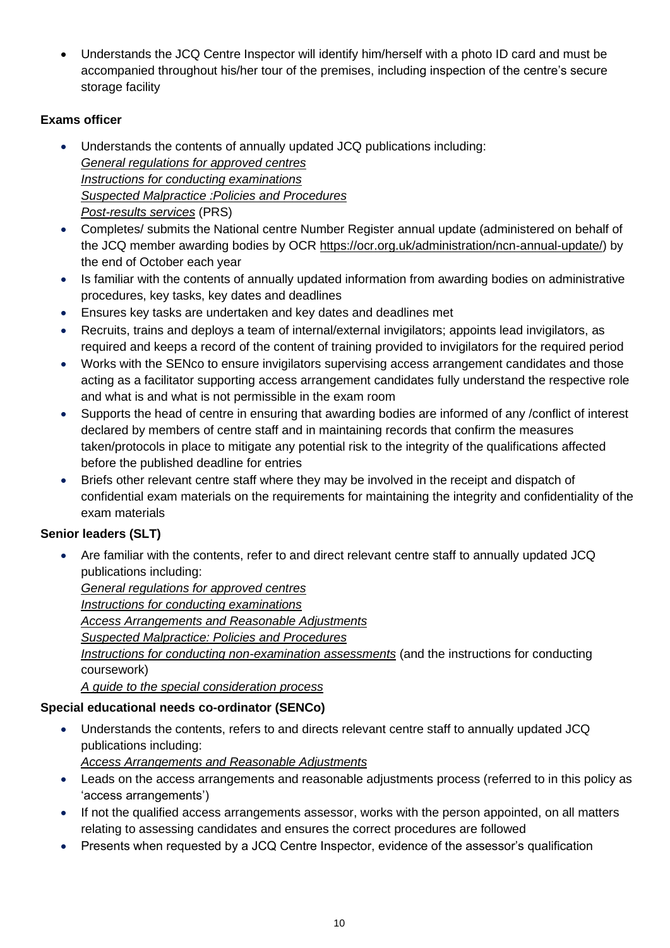• Understands the JCQ Centre Inspector will identify him/herself with a photo ID card and must be accompanied throughout his/her tour of the premises, including inspection of the centre's secure storage facility

## **Exams officer**

- Understands the contents of annually updated JCQ publications including: *[General regulations for approved centres](http://www.jcq.org.uk/exams-office/general-regulations) [Instructions for conducting examinations](http://www.jcq.org.uk/exams-office/ice---instructions-for-conducting-examinations) [Suspected Malpractice :Policies](http://www.jcq.org.uk/exams-office/malpractice) and Procedures [Post-results services](http://www.jcq.org.uk/exams-office/post-results-services)* (PRS)
- Completes/ submits the National centre Number Register annual update (administered on behalf of the JCQ member awarding bodies by OCR [https://ocr.org.uk/administration/ncn-annual-update/\)](https://ocr.org.uk/administration/ncn-annual-update/) by the end of October each year
- Is familiar with the contents of annually updated information from awarding bodies on administrative procedures, key tasks, key dates and deadlines
- Ensures key tasks are undertaken and key dates and deadlines met
- Recruits, trains and deploys a team of internal/external invigilators; appoints lead invigilators, as required and keeps a record of the content of training provided to invigilators for the required period
- Works with the SENco to ensure invigilators supervising access arrangement candidates and those acting as a facilitator supporting access arrangement candidates fully understand the respective role and what is and what is not permissible in the exam room
- Supports the head of centre in ensuring that awarding bodies are informed of any /conflict of interest declared by members of centre staff and in maintaining records that confirm the measures taken/protocols in place to mitigate any potential risk to the integrity of the qualifications affected before the published deadline for entries
- Briefs other relevant centre staff where they may be involved in the receipt and dispatch of confidential exam materials on the requirements for maintaining the integrity and confidentiality of the exam materials

## **Senior leaders (SLT)**

• Are familiar with the contents, refer to and direct relevant centre staff to annually updated JCQ publications including:

*[General regulations for approved centres](http://www.jcq.org.uk/exams-office/general-regulations) [Instructions for conducting examinations](http://www.jcq.org.uk/exams-office/ice---instructions-for-conducting-examinations) [Access Arrangements and Reasonable Adjustments](http://www.jcq.org.uk/exams-office/access-arrangements-and-special-consideration/regulations-and-guidance) [Suspected Malpractice:](http://www.jcq.org.uk/exams-office/malpractice) Policies and Procedures [Instructions for conducting non-examination assessments](http://www.jcq.org.uk/exams-office/non-examination-assessments)* (and the instructions for conducting coursework) *A guide to the special consideration process*

## **Special educational needs co-ordinator (SENCo)**

• Understands the contents, refers to and directs relevant centre staff to annually updated JCQ publications including:

*[Access Arrangements and Reasonable Adjustments](http://www.jcq.org.uk/exams-office/access-arrangements-and-special-consideration/regulations-and-guidance)*

- Leads on the access arrangements and reasonable adjustments process (referred to in this policy as 'access arrangements')
- If not the qualified access arrangements assessor, works with the person appointed, on all matters relating to assessing candidates and ensures the correct procedures are followed
- Presents when requested by a JCQ Centre Inspector, evidence of the assessor's qualification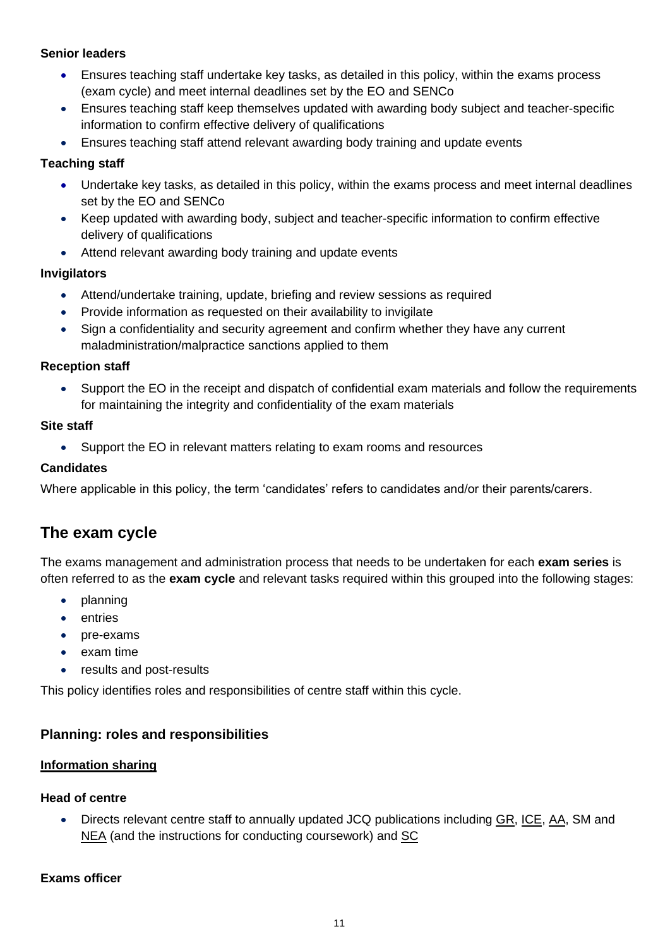### **Senior leaders**

- Ensures teaching staff undertake key tasks, as detailed in this policy, within the exams process (exam cycle) and meet internal deadlines set by the EO and SENCo
- Ensures teaching staff keep themselves updated with awarding body subject and teacher-specific information to confirm effective delivery of qualifications
- Ensures teaching staff attend relevant awarding body training and update events

## **Teaching staff**

- Undertake key tasks, as detailed in this policy, within the exams process and meet internal deadlines set by the EO and SENCo
- Keep updated with awarding body, subject and teacher-specific information to confirm effective delivery of qualifications
- Attend relevant awarding body training and update events

## **Invigilators**

- Attend/undertake training, update, briefing and review sessions as required
- Provide information as requested on their availability to invigilate
- Sign a confidentiality and security agreement and confirm whether they have any current maladministration/malpractice sanctions applied to them

## **Reception staff**

• Support the EO in the receipt and dispatch of confidential exam materials and follow the requirements for maintaining the integrity and confidentiality of the exam materials

## **Site staff**

• Support the EO in relevant matters relating to exam rooms and resources

## **Candidates**

Where applicable in this policy, the term 'candidates' refers to candidates and/or their parents/carers.

## <span id="page-10-0"></span>**The exam cycle**

The exams management and administration process that needs to be undertaken for each **exam series** is often referred to as the **exam cycle** and relevant tasks required within this grouped into the following stages:

- planning
- entries
- pre-exams
- exam time
- results and post-results

<span id="page-10-1"></span>This policy identifies roles and responsibilities of centre staff within this cycle.

## **Planning: roles and responsibilities**

## <span id="page-10-2"></span>**Information sharing**

## **Head of centre**

• Directs relevant centre staff to annually updated JCQ publications including [GR,](http://www.jcq.org.uk/exams-office/general-regulations) [ICE,](http://www.jcq.org.uk/exams-office/ice---instructions-for-conducting-examinations) [AA,](http://www.jcq.org.uk/exams-office/access-arrangements-and-special-consideration) SM and [NEA](http://www.jcq.org.uk/exams-office/non-examination-assessments) (and the instructions for conducting coursework) and SC

## **Exams officer**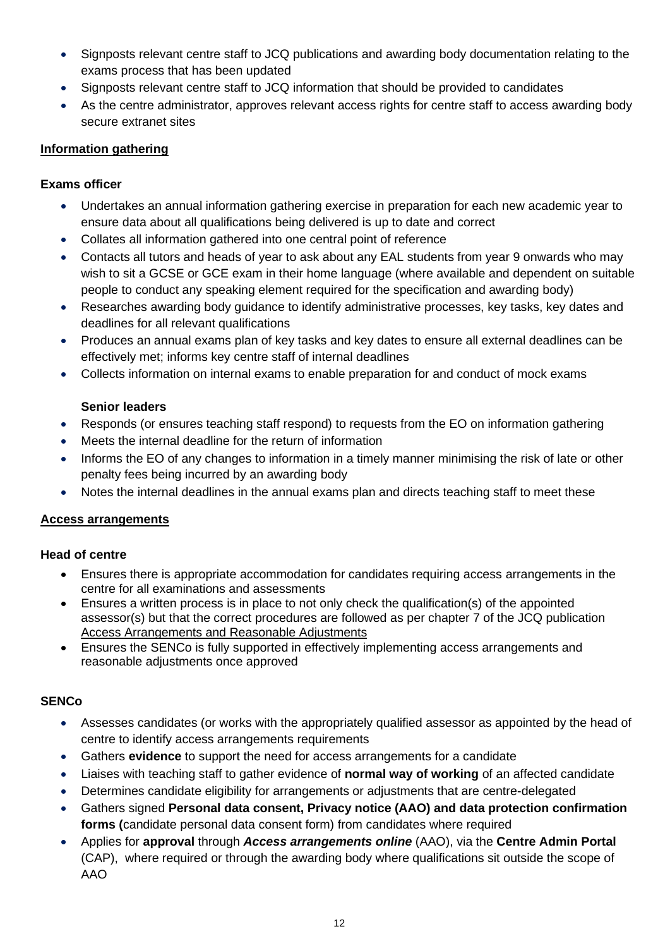- Signposts relevant centre staff to JCQ publications and awarding body documentation relating to the exams process that has been updated
- Signposts relevant centre staff to JCQ information that should be provided to candidates
- As the centre administrator, approves relevant access rights for centre staff to access awarding body secure extranet sites

#### <span id="page-11-0"></span>**Information gathering**

#### **Exams officer**

- Undertakes an annual information gathering exercise in preparation for each new academic year to ensure data about all qualifications being delivered is up to date and correct
- Collates all information gathered into one central point of reference
- Contacts all tutors and heads of year to ask about any EAL students from year 9 onwards who may wish to sit a GCSE or GCE exam in their home language (where available and dependent on suitable people to conduct any speaking element required for the specification and awarding body)
- Researches awarding body guidance to identify administrative processes, key tasks, key dates and deadlines for all relevant qualifications
- Produces an annual exams plan of key tasks and key dates to ensure all external deadlines can be effectively met; informs key centre staff of internal deadlines
- Collects information on internal exams to enable preparation for and conduct of mock exams

## **Senior leaders**

- Responds (or ensures teaching staff respond) to requests from the EO on information gathering
- Meets the internal deadline for the return of information
- Informs the EO of any changes to information in a timely manner minimising the risk of late or other penalty fees being incurred by an awarding body
- Notes the internal deadlines in the annual exams plan and directs teaching staff to meet these

## <span id="page-11-1"></span>**Access arrangements**

## **Head of centre**

- Ensures there is appropriate accommodation for candidates requiring access arrangements in the centre for all examinations and assessments
- Ensures a written process is in place to not only check the qualification(s) of the appointed assessor(s) but that the correct procedures are followed as per chapter 7 of the JCQ publication Access Arrangements and Reasonable Adjustments
- Ensures the SENCo is fully supported in effectively implementing access arrangements and reasonable adjustments once approved

## **SENCo**

- Assesses candidates (or works with the appropriately qualified assessor as appointed by the head of centre to identify access arrangements requirements
- Gathers **evidence** to support the need for access arrangements for a candidate
- Liaises with teaching staff to gather evidence of **normal way of working** of an affected candidate
- Determines candidate eligibility for arrangements or adjustments that are centre-delegated
- Gathers signed **Personal data consent, Privacy notice (AAO) and data protection confirmation forms (**candidate personal data consent form) from candidates where required
- Applies for **approval** through *Access arrangements online* (AAO), via the **Centre Admin Portal** (CAP), where required or through the awarding body where qualifications sit outside the scope of AAO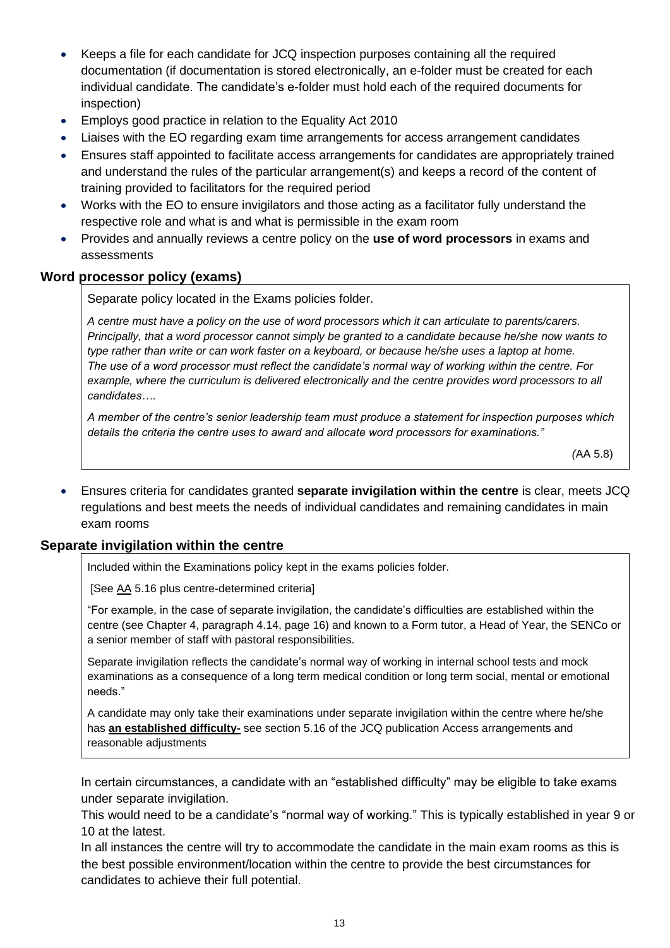- Keeps a file for each candidate for JCQ inspection purposes containing all the required documentation (if documentation is stored electronically, an e-folder must be created for each individual candidate. The candidate's e-folder must hold each of the required documents for inspection)
- Employs good practice in relation to the Equality Act 2010
- Liaises with the EO regarding exam time arrangements for access arrangement candidates
- Ensures staff appointed to facilitate access arrangements for candidates are appropriately trained and understand the rules of the particular arrangement(s) and keeps a record of the content of training provided to facilitators for the required period
- Works with the EO to ensure invigilators and those acting as a facilitator fully understand the respective role and what is and what is permissible in the exam room
- Provides and annually reviews a centre policy on the **use of word processors** in exams and assessments

#### <span id="page-12-0"></span>**Word processor policy (exams)**

Separate policy located in the Exams policies folder.

*A centre must have a policy on the use of word processors which it can articulate to parents/carers. Principally, that a word processor cannot simply be granted to a candidate because he/she now wants to type rather than write or can work faster on a keyboard, or because he/she uses a laptop at home. The use of a word processor must reflect the candidate's normal way of working within the centre. For example, where the curriculum is delivered electronically and the centre provides word processors to all candidates….*

*A member of the centre's senior leadership team must produce a statement for inspection purposes which details the criteria the centre uses to award and allocate word processors for examinations."*

 *(*AA 5.8)

• Ensures criteria for candidates granted **separate invigilation within the centre** is clear, meets JCQ regulations and best meets the needs of individual candidates and remaining candidates in main exam rooms

## <span id="page-12-1"></span>**Separate invigilation within the centre**

Included within the Examinations policy kept in the exams policies folder.

[See [AA](http://www.jcq.org.uk/exams-office/access-arrangements-and-special-consideration) 5.16 plus centre-determined criteria]

"For example, in the case of separate invigilation, the candidate's difficulties are established within the centre (see Chapter 4, paragraph 4.14, page 16) and known to a Form tutor, a Head of Year, the SENCo or a senior member of staff with pastoral responsibilities.

Separate invigilation reflects the candidate's normal way of working in internal school tests and mock examinations as a consequence of a long term medical condition or long term social, mental or emotional needs."

A candidate may only take their examinations under separate invigilation within the centre where he/she has **an established difficulty-** see section 5.16 of the JCQ publication Access arrangements and reasonable adjustments

In certain circumstances, a candidate with an "established difficulty" may be eligible to take exams under separate invigilation.

This would need to be a candidate's "normal way of working." This is typically established in year 9 or 10 at the latest.

In all instances the centre will try to accommodate the candidate in the main exam rooms as this is the best possible environment/location within the centre to provide the best circumstances for candidates to achieve their full potential.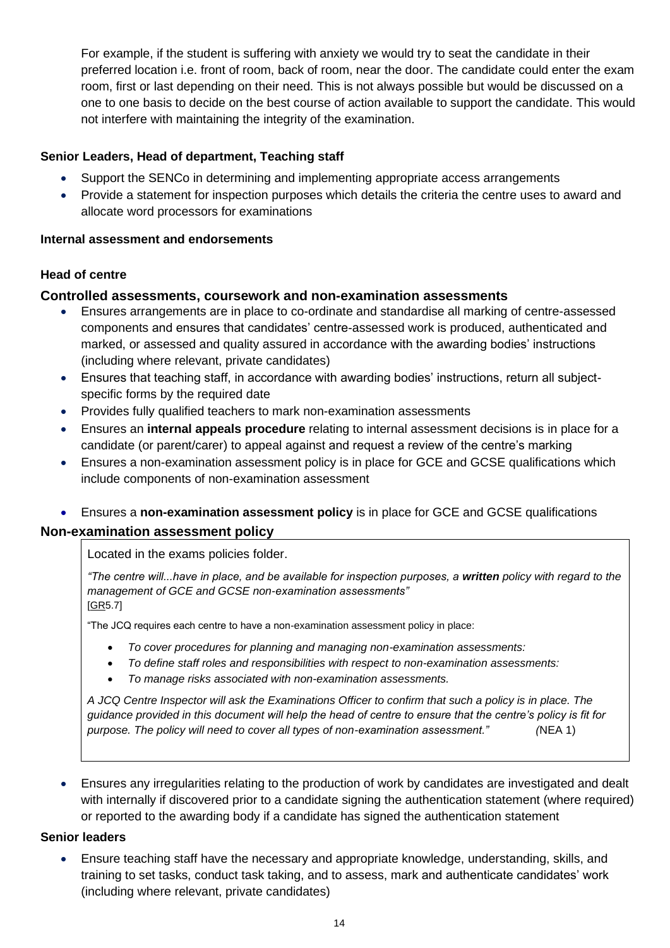For example, if the student is suffering with anxiety we would try to seat the candidate in their preferred location i.e. front of room, back of room, near the door. The candidate could enter the exam room, first or last depending on their need. This is not always possible but would be discussed on a one to one basis to decide on the best course of action available to support the candidate. This would not interfere with maintaining the integrity of the examination.

### **Senior Leaders, Head of department, Teaching staff**

- Support the SENCo in determining and implementing appropriate access arrangements
- Provide a statement for inspection purposes which details the criteria the centre uses to award and allocate word processors for examinations

#### <span id="page-13-0"></span>**Internal assessment and endorsements**

#### **Head of centre**

#### <span id="page-13-1"></span>**Controlled assessments, coursework and non-examination assessments**

- Ensures arrangements are in place to co-ordinate and standardise all marking of centre-assessed components and ensures that candidates' centre-assessed work is produced, authenticated and marked, or assessed and quality assured in accordance with the awarding bodies' instructions (including where relevant, private candidates)
- Ensures that teaching staff, in accordance with awarding bodies' instructions, return all subjectspecific forms by the required date
- Provides fully qualified teachers to mark non-examination assessments
- Ensures an **internal appeals procedure** relating to internal assessment decisions is in place for a candidate (or parent/carer) to appeal against and request a review of the centre's marking
- Ensures a non-examination assessment policy is in place for GCE and GCSE qualifications which include components of non-examination assessment
- Ensures a **non-examination assessment policy** is in place for GCE and GCSE qualifications

#### <span id="page-13-2"></span>**Non-examination assessment policy**

Located in the exams policies folder.

*"The centre will...have in place, and be available for inspection purposes, a written policy with regard to the management of GCE and GCSE non-examination assessments"*  [\[GR5](http://www.jcq.org.uk/exams-office/general-regulations).7]

"The JCQ requires each centre to have a non-examination assessment policy in place:

- *To cover procedures for planning and managing non-examination assessments:*
- *To define staff roles and responsibilities with respect to non-examination assessments:*
- *To manage risks associated with non-examination assessments.*

*A JCQ Centre Inspector will ask the Examinations Officer to confirm that such a policy is in place. The guidance provided in this document will help the head of centre to ensure that the centre's policy is fit for purpose. The policy will need to cover all types of non-examination assessment." (*NEA 1)

• Ensures any irregularities relating to the production of work by candidates are investigated and dealt with internally if discovered prior to a candidate signing the authentication statement (where required) or reported to the awarding body if a candidate has signed the authentication statement

#### **Senior leaders**

• Ensure teaching staff have the necessary and appropriate knowledge, understanding, skills, and training to set tasks, conduct task taking, and to assess, mark and authenticate candidates' work (including where relevant, private candidates)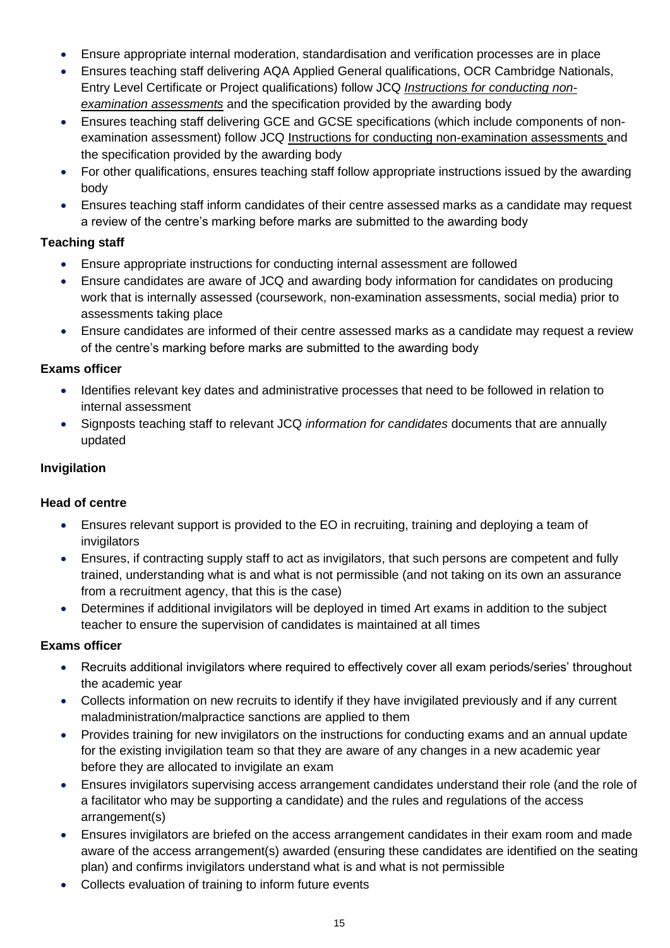- Ensure appropriate internal moderation, standardisation and verification processes are in place
- Ensures teaching staff delivering AQA Applied General qualifications, OCR Cambridge Nationals, Entry Level Certificate or Project qualifications) follow JCQ *[Instructions for conducting non](http://www.jcq.org.uk/exams-office/non-examination-assessments)[examination assessments](http://www.jcq.org.uk/exams-office/non-examination-assessments)* and the specification provided by the awarding body
- Ensures teaching staff delivering GCE and GCSE specifications (which include components of nonexamination assessment) follow JCQ Instructions for conducting non-examination assessments and the specification provided by the awarding body
- For other qualifications, ensures teaching staff follow appropriate instructions issued by the awarding body
- Ensures teaching staff inform candidates of their centre assessed marks as a candidate may request a review of the centre's marking before marks are submitted to the awarding body

## **Teaching staff**

- Ensure appropriate instructions for conducting internal assessment are followed
- Ensure candidates are aware of JCQ and awarding body information for candidates on producing work that is internally assessed (coursework, non-examination assessments, social media) prior to assessments taking place
- Ensure candidates are informed of their centre assessed marks as a candidate may request a review of the centre's marking before marks are submitted to the awarding body

## **Exams officer**

- Identifies relevant key dates and administrative processes that need to be followed in relation to internal assessment
- Signposts teaching staff to relevant JCQ *information for candidates* documents that are annually updated

## <span id="page-14-0"></span>**Invigilation**

## **Head of centre**

- Ensures relevant support is provided to the EO in recruiting, training and deploying a team of invigilators
- Ensures, if contracting supply staff to act as invigilators, that such persons are competent and fully trained, understanding what is and what is not permissible (and not taking on its own an assurance from a recruitment agency, that this is the case)
- Determines if additional invigilators will be deployed in timed Art exams in addition to the subject teacher to ensure the supervision of candidates is maintained at all times

## **Exams officer**

- Recruits additional invigilators where required to effectively cover all exam periods/series' throughout the academic year
- Collects information on new recruits to identify if they have invigilated previously and if any current maladministration/malpractice sanctions are applied to them
- Provides training for new invigilators on the instructions for conducting exams and an annual update for the existing invigilation team so that they are aware of any changes in a new academic year before they are allocated to invigilate an exam
- Ensures invigilators supervising access arrangement candidates understand their role (and the role of a facilitator who may be supporting a candidate) and the rules and regulations of the access arrangement(s)
- Ensures invigilators are briefed on the access arrangement candidates in their exam room and made aware of the access arrangement(s) awarded (ensuring these candidates are identified on the seating plan) and confirms invigilators understand what is and what is not permissible
- Collects evaluation of training to inform future events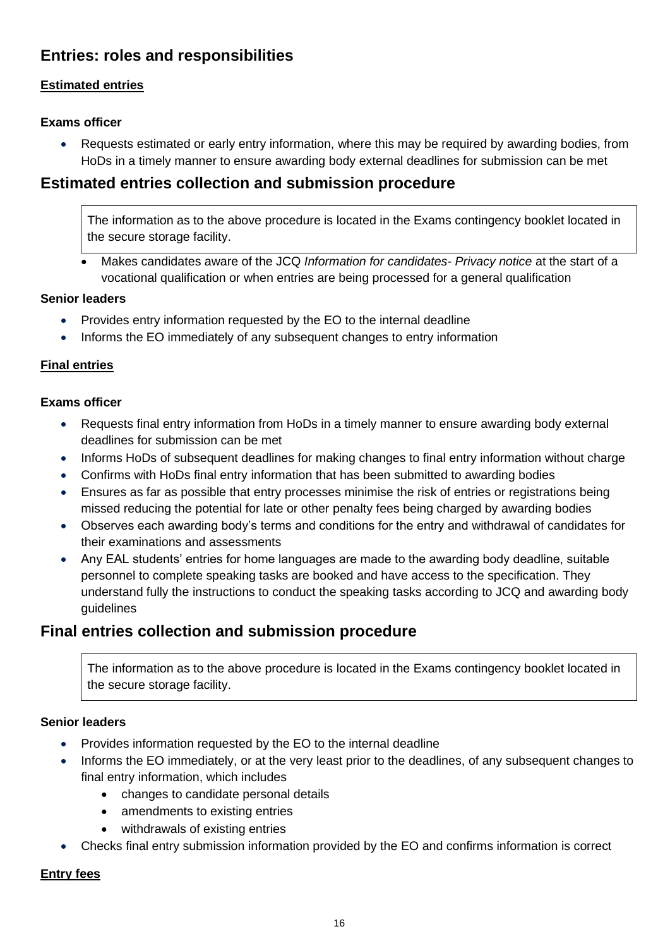# <span id="page-15-0"></span>**Entries: roles and responsibilities**

## <span id="page-15-1"></span>**Estimated entries**

## **Exams officer**

• Requests estimated or early entry information, where this may be required by awarding bodies, from HoDs in a timely manner to ensure awarding body external deadlines for submission can be met

## <span id="page-15-2"></span>**Estimated entries collection and submission procedure**

The information as to the above procedure is located in the Exams contingency booklet located in the secure storage facility.

• Makes candidates aware of the JCQ *Information for candidates- Privacy notice* at the start of a vocational qualification or when entries are being processed for a general qualification

## **Senior leaders**

- Provides entry information requested by the EO to the internal deadline
- Informs the EO immediately of any subsequent changes to entry information

## <span id="page-15-3"></span>**Final entries**

#### **Exams officer**

- Requests final entry information from HoDs in a timely manner to ensure awarding body external deadlines for submission can be met
- Informs HoDs of subsequent deadlines for making changes to final entry information without charge
- Confirms with HoDs final entry information that has been submitted to awarding bodies
- Ensures as far as possible that entry processes minimise the risk of entries or registrations being missed reducing the potential for late or other penalty fees being charged by awarding bodies
- Observes each awarding body's terms and conditions for the entry and withdrawal of candidates for their examinations and assessments
- Any EAL students' entries for home languages are made to the awarding body deadline, suitable personnel to complete speaking tasks are booked and have access to the specification. They understand fully the instructions to conduct the speaking tasks according to JCQ and awarding body guidelines

## <span id="page-15-4"></span>**Final entries collection and submission procedure**

The information as to the above procedure is located in the Exams contingency booklet located in the secure storage facility.

## **Senior leaders**

- Provides information requested by the EO to the internal deadline
- Informs the EO immediately, or at the very least prior to the deadlines, of any subsequent changes to final entry information, which includes
	- changes to candidate personal details
	- amendments to existing entries
	- withdrawals of existing entries
- Checks final entry submission information provided by the EO and confirms information is correct

## <span id="page-15-5"></span>**Entry fees**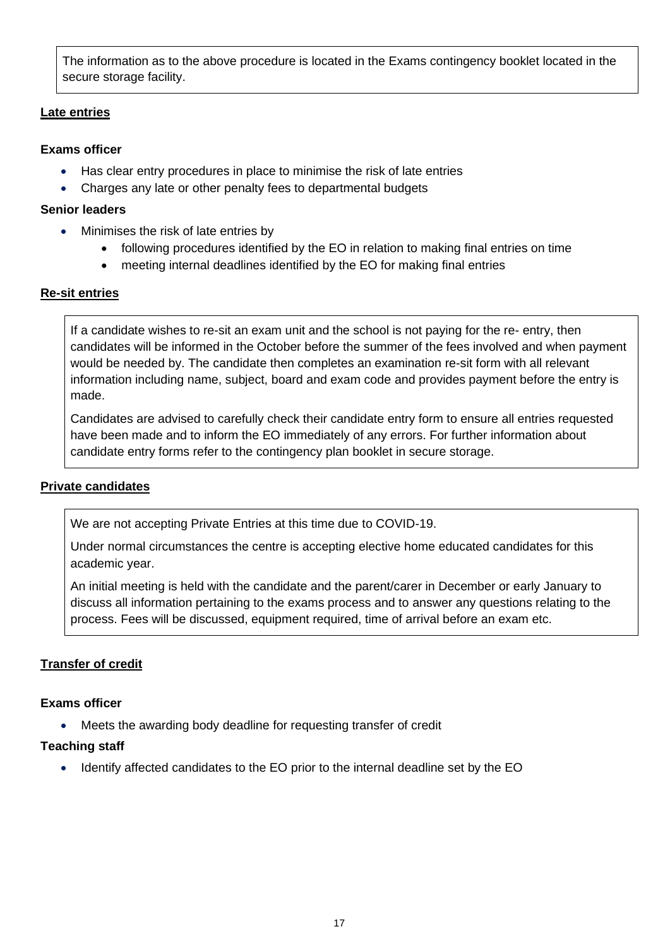The information as to the above procedure is located in the Exams contingency booklet located in the secure storage facility.

### <span id="page-16-0"></span>**Late entries**

### **Exams officer**

- Has clear entry procedures in place to minimise the risk of late entries
- Charges any late or other penalty fees to departmental budgets

#### **Senior leaders**

- Minimises the risk of late entries by
	- following procedures identified by the EO in relation to making final entries on time
	- meeting internal deadlines identified by the EO for making final entries

## <span id="page-16-1"></span>**Re-sit entries**

If a candidate wishes to re-sit an exam unit and the school is not paying for the re- entry, then candidates will be informed in the October before the summer of the fees involved and when payment would be needed by. The candidate then completes an examination re-sit form with all relevant information including name, subject, board and exam code and provides payment before the entry is made.

Candidates are advised to carefully check their candidate entry form to ensure all entries requested have been made and to inform the EO immediately of any errors. For further information about candidate entry forms refer to the contingency plan booklet in secure storage.

## <span id="page-16-2"></span>**Private candidates**

We are not accepting Private Entries at this time due to COVID-19.

Under normal circumstances the centre is accepting elective home educated candidates for this academic year.

An initial meeting is held with the candidate and the parent/carer in December or early January to discuss all information pertaining to the exams process and to answer any questions relating to the process. Fees will be discussed, equipment required, time of arrival before an exam etc.

## **Transfer of credit**

## **Exams officer**

• Meets the awarding body deadline for requesting transfer of credit

## **Teaching staff**

<span id="page-16-3"></span>• Identify affected candidates to the EO prior to the internal deadline set by the EO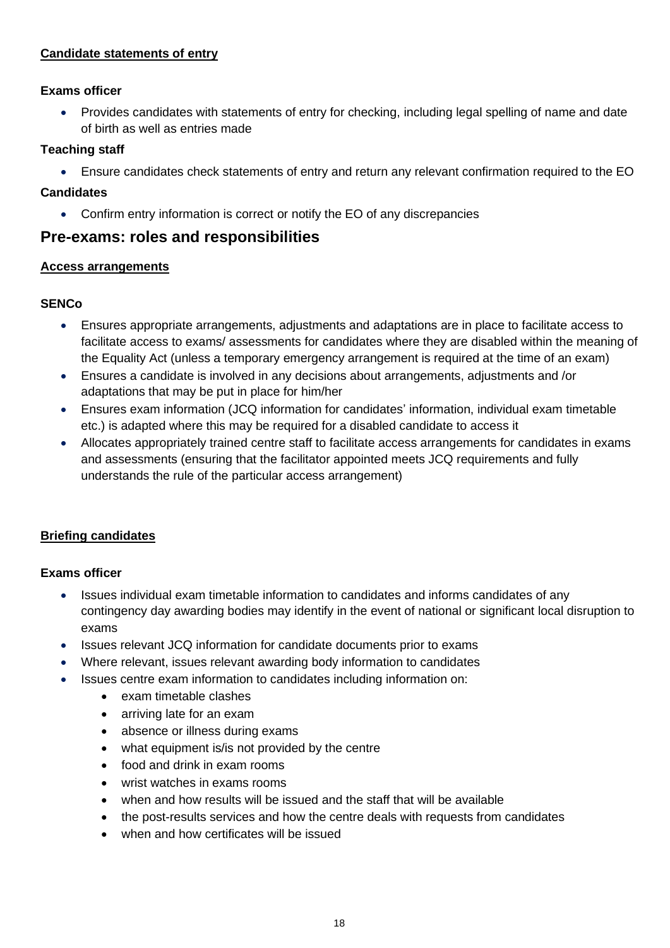### **Candidate statements of entry**

#### **Exams officer**

• Provides candidates with statements of entry for checking, including legal spelling of name and date of birth as well as entries made

#### **Teaching staff**

• Ensure candidates check statements of entry and return any relevant confirmation required to the EO

#### **Candidates**

• Confirm entry information is correct or notify the EO of any discrepancies

## <span id="page-17-0"></span>**Pre-exams: roles and responsibilities**

#### <span id="page-17-1"></span>**Access arrangements**

## **SENCo**

- Ensures appropriate arrangements, adjustments and adaptations are in place to facilitate access to facilitate access to exams/ assessments for candidates where they are disabled within the meaning of the Equality Act (unless a temporary emergency arrangement is required at the time of an exam)
- Ensures a candidate is involved in any decisions about arrangements, adjustments and /or adaptations that may be put in place for him/her
- Ensures exam information (JCQ information for candidates' information, individual exam timetable etc.) is adapted where this may be required for a disabled candidate to access it
- Allocates appropriately trained centre staff to facilitate access arrangements for candidates in exams and assessments (ensuring that the facilitator appointed meets JCQ requirements and fully understands the rule of the particular access arrangement)

## <span id="page-17-2"></span>**Briefing candidates**

## **Exams officer**

- Issues individual exam timetable information to candidates and informs candidates of any contingency day awarding bodies may identify in the event of national or significant local disruption to exams
- Issues relevant JCQ information for candidate documents prior to exams
- Where relevant, issues relevant awarding body information to candidates
- <span id="page-17-3"></span>• Issues centre exam information to candidates including information on:
	- exam timetable clashes
	- arriving late for an exam
	- absence or illness during exams
	- what equipment is/is not provided by the centre
	- food and drink in exam rooms
	- wrist watches in exams rooms
	- when and how results will be issued and the staff that will be available
	- the post-results services and how the centre deals with requests from candidates
	- when and how certificates will be issued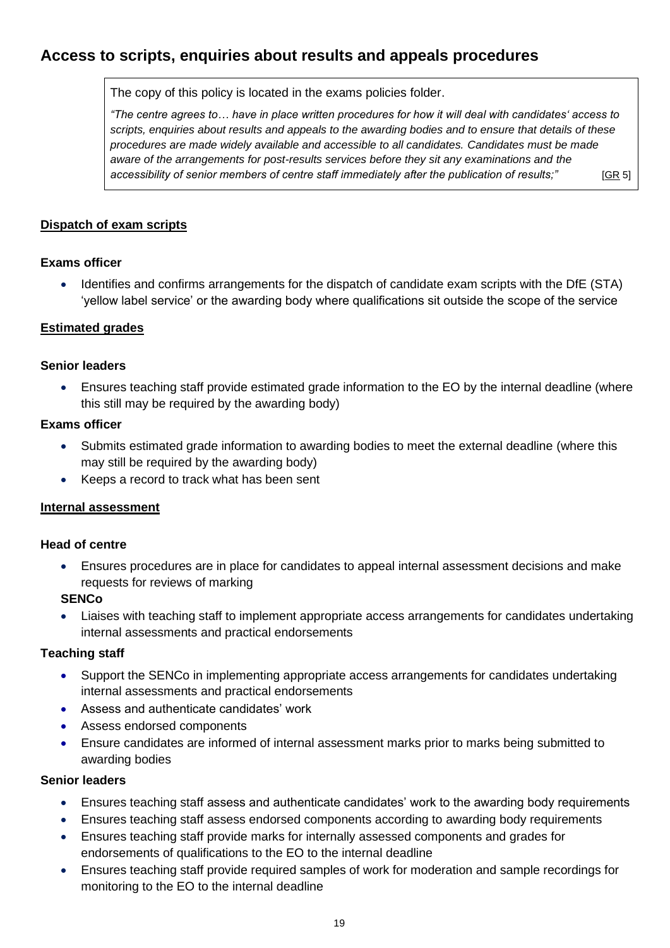# **Access to scripts, enquiries about results and appeals procedures**

The copy of this policy is located in the exams policies folder.

*"The centre agrees to… have in place written procedures for how it will deal with candidates' access to scripts, enquiries about results and appeals to the awarding bodies and to ensure that details of these procedures are made widely available and accessible to all candidates. Candidates must be made aware of the arrangements for post-results services before they sit any examinations and the accessibility of senior members of centre staff immediately after the publication of results;"* [\[GR](http://www.jcq.org.uk/exams-office/general-regulations) 5]

<span id="page-18-0"></span>**Dispatch of exam scripts**

#### **Exams officer**

• Identifies and confirms arrangements for the dispatch of candidate exam scripts with the DfE (STA) 'yellow label service' or the awarding body where qualifications sit outside the scope of the service

#### <span id="page-18-1"></span>**Estimated grades**

#### **Senior leaders**

• Ensures teaching staff provide estimated grade information to the EO by the internal deadline (where this still may be required by the awarding body)

#### **Exams officer**

- Submits estimated grade information to awarding bodies to meet the external deadline (where this may still be required by the awarding body)
- Keeps a record to track what has been sent

## <span id="page-18-2"></span>**Internal assessment**

#### **Head of centre**

• Ensures procedures are in place for candidates to appeal internal assessment decisions and make requests for reviews of marking

## **SENCo**

• Liaises with teaching staff to implement appropriate access arrangements for candidates undertaking internal assessments and practical endorsements

#### **Teaching staff**

- Support the SENCo in implementing appropriate access arrangements for candidates undertaking internal assessments and practical endorsements
- Assess and authenticate candidates' work
- Assess endorsed components
- Ensure candidates are informed of internal assessment marks prior to marks being submitted to awarding bodies

#### **Senior leaders**

- Ensures teaching staff assess and authenticate candidates' work to the awarding body requirements
- Ensures teaching staff assess endorsed components according to awarding body requirements
- Ensures teaching staff provide marks for internally assessed components and grades for endorsements of qualifications to the EO to the internal deadline
- Ensures teaching staff provide required samples of work for moderation and sample recordings for monitoring to the EO to the internal deadline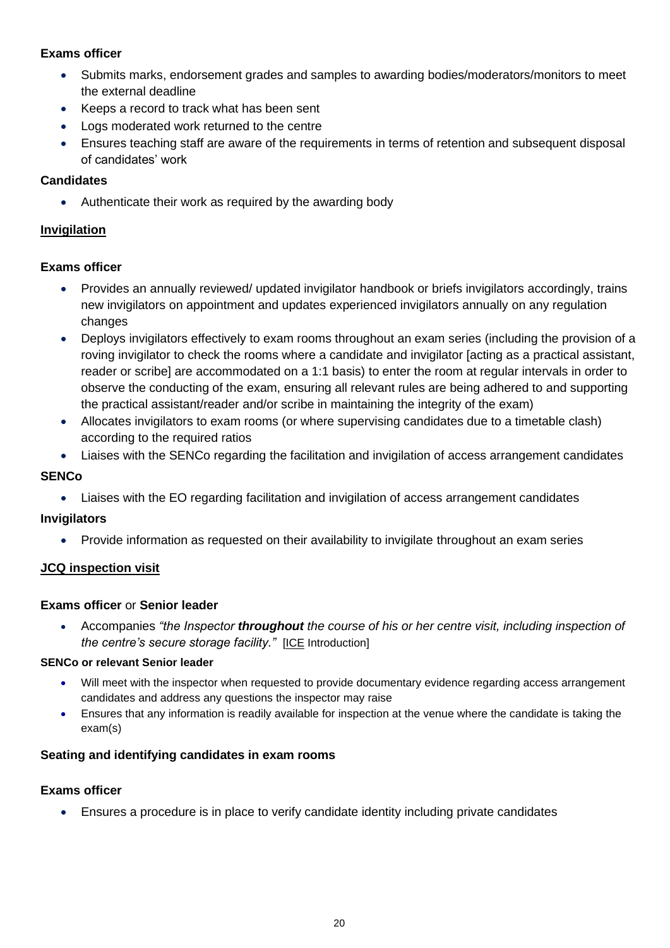## **Exams officer**

- Submits marks, endorsement grades and samples to awarding bodies/moderators/monitors to meet the external deadline
- Keeps a record to track what has been sent
- Logs moderated work returned to the centre
- Ensures teaching staff are aware of the requirements in terms of retention and subsequent disposal of candidates' work

#### **Candidates**

• Authenticate their work as required by the awarding body

### <span id="page-19-0"></span>**Invigilation**

#### **Exams officer**

- Provides an annually reviewed/ updated invigilator handbook or briefs invigilators accordingly, trains new invigilators on appointment and updates experienced invigilators annually on any regulation changes
- Deploys invigilators effectively to exam rooms throughout an exam series (including the provision of a roving invigilator to check the rooms where a candidate and invigilator [acting as a practical assistant, reader or scribe] are accommodated on a 1:1 basis) to enter the room at regular intervals in order to observe the conducting of the exam, ensuring all relevant rules are being adhered to and supporting the practical assistant/reader and/or scribe in maintaining the integrity of the exam)
- Allocates invigilators to exam rooms (or where supervising candidates due to a timetable clash) according to the required ratios
- Liaises with the SENCo regarding the facilitation and invigilation of access arrangement candidates

#### **SENCo**

• Liaises with the EO regarding facilitation and invigilation of access arrangement candidates

## **Invigilators**

• Provide information as requested on their availability to invigilate throughout an exam series

## <span id="page-19-1"></span>**JCQ inspection visit**

#### **Exams officer** or **Senior leader**

• Accompanies *"the Inspector throughout the course of his or her centre visit, including inspection of the centre's secure storage facility."* [\[ICE](http://www.jcq.org.uk/exams-office/ice---instructions-for-conducting-examinations) Introduction]

#### **SENCo or relevant Senior leader**

- Will meet with the inspector when requested to provide documentary evidence regarding access arrangement candidates and address any questions the inspector may raise
- Ensures that any information is readily available for inspection at the venue where the candidate is taking the exam(s)

#### <span id="page-19-2"></span>**Seating and identifying candidates in exam rooms**

#### **Exams officer**

<span id="page-19-3"></span>• Ensures a procedure is in place to verify candidate identity including private candidates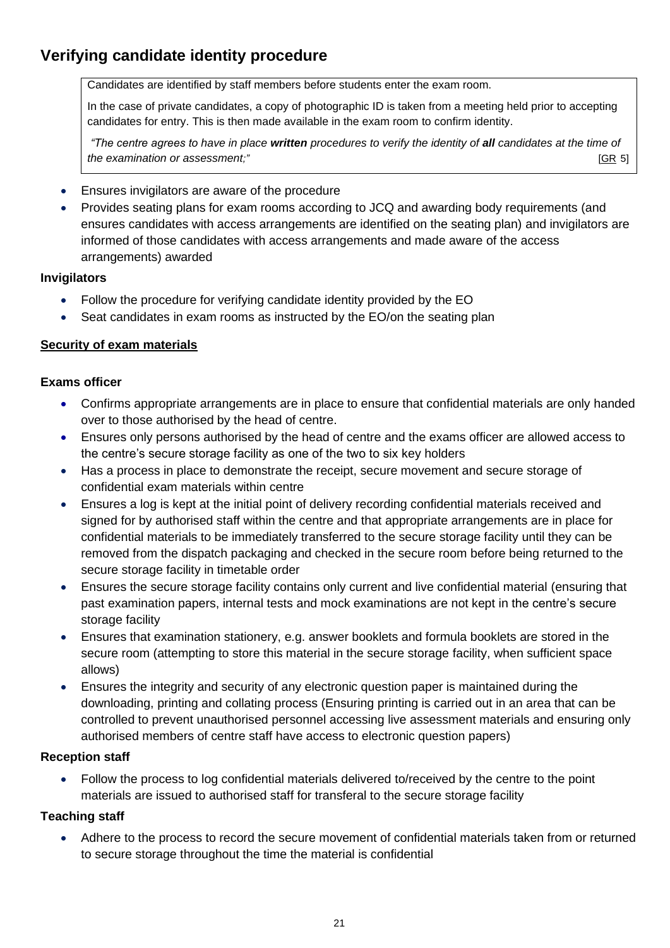# **Verifying candidate identity procedure**

Candidates are identified by staff members before students enter the exam room.

In the case of private candidates, a copy of photographic ID is taken from a meeting held prior to accepting candidates for entry. This is then made available in the exam room to confirm identity.

*"The centre agrees to have in place written procedures to verify the identity of all candidates at the time of the examination or assessment;"*  $[GR 5]$  $[GR 5]$ 

- Ensures invigilators are aware of the procedure
- Provides seating plans for exam rooms according to JCQ and awarding body requirements (and ensures candidates with access arrangements are identified on the seating plan) and invigilators are informed of those candidates with access arrangements and made aware of the access arrangements) awarded

#### **Invigilators**

- Follow the procedure for verifying candidate identity provided by the EO
- Seat candidates in exam rooms as instructed by the EO/on the seating plan

## <span id="page-20-0"></span>**Security of exam materials**

#### **Exams officer**

- Confirms appropriate arrangements are in place to ensure that confidential materials are only handed over to those authorised by the head of centre.
- Ensures only persons authorised by the head of centre and the exams officer are allowed access to the centre's secure storage facility as one of the two to six key holders
- Has a process in place to demonstrate the receipt, secure movement and secure storage of confidential exam materials within centre
- Ensures a log is kept at the initial point of delivery recording confidential materials received and signed for by authorised staff within the centre and that appropriate arrangements are in place for confidential materials to be immediately transferred to the secure storage facility until they can be removed from the dispatch packaging and checked in the secure room before being returned to the secure storage facility in timetable order
- Ensures the secure storage facility contains only current and live confidential material (ensuring that past examination papers, internal tests and mock examinations are not kept in the centre's secure storage facility
- Ensures that examination stationery, e.g. answer booklets and formula booklets are stored in the secure room (attempting to store this material in the secure storage facility, when sufficient space allows)
- Ensures the integrity and security of any electronic question paper is maintained during the downloading, printing and collating process (Ensuring printing is carried out in an area that can be controlled to prevent unauthorised personnel accessing live assessment materials and ensuring only authorised members of centre staff have access to electronic question papers)

#### **Reception staff**

• Follow the process to log confidential materials delivered to/received by the centre to the point materials are issued to authorised staff for transferal to the secure storage facility

## **Teaching staff**

• Adhere to the process to record the secure movement of confidential materials taken from or returned to secure storage throughout the time the material is confidential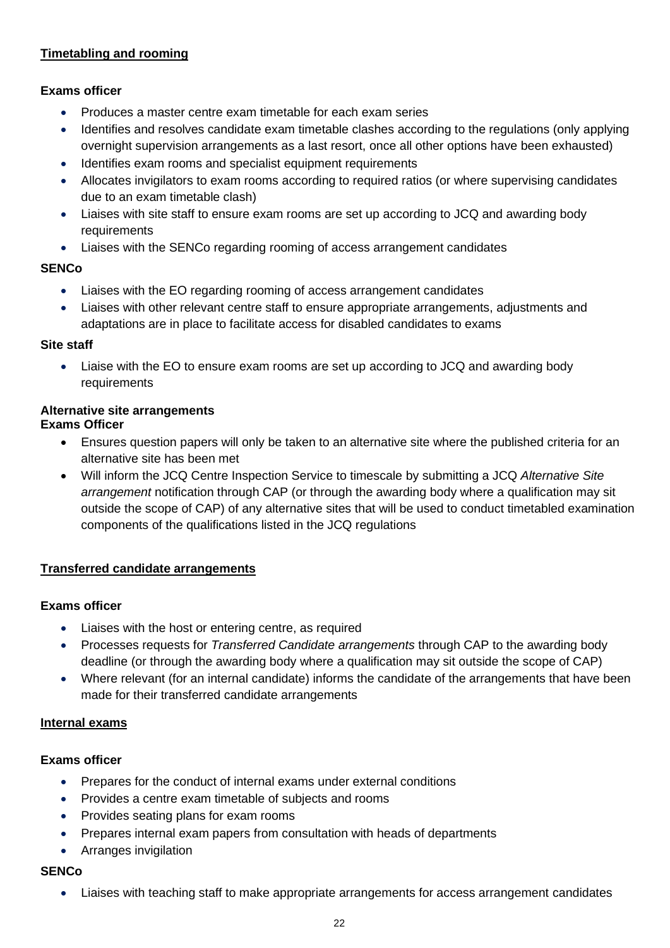## <span id="page-21-0"></span>**Timetabling and rooming**

## **Exams officer**

- Produces a master centre exam timetable for each exam series
- Identifies and resolves candidate exam timetable clashes according to the regulations (only applying overnight supervision arrangements as a last resort, once all other options have been exhausted)
- Identifies exam rooms and specialist equipment requirements
- Allocates invigilators to exam rooms according to required ratios (or where supervising candidates due to an exam timetable clash)
- Liaises with site staff to ensure exam rooms are set up according to JCQ and awarding body requirements
- Liaises with the SENCo regarding rooming of access arrangement candidates

#### **SENCo**

- Liaises with the EO regarding rooming of access arrangement candidates
- Liaises with other relevant centre staff to ensure appropriate arrangements, adjustments and adaptations are in place to facilitate access for disabled candidates to exams

#### **Site staff**

• Liaise with the EO to ensure exam rooms are set up according to JCQ and awarding body requirements

#### <span id="page-21-1"></span>**Alternative site arrangements Exams Officer**

- Ensures question papers will only be taken to an alternative site where the published criteria for an alternative site has been met
- Will inform the JCQ Centre Inspection Service to timescale by submitting a JCQ *Alternative Site arrangement* notification through CAP (or through the awarding body where a qualification may sit outside the scope of CAP) of any alternative sites that will be used to conduct timetabled examination components of the qualifications listed in the JCQ regulations

#### <span id="page-21-2"></span>**Transferred candidate arrangements**

#### **Exams officer**

- Liaises with the host or entering centre, as required
- Processes requests for *Transferred Candidate arrangements* through CAP to the awarding body deadline (or through the awarding body where a qualification may sit outside the scope of CAP)
- Where relevant (for an internal candidate) informs the candidate of the arrangements that have been made for their transferred candidate arrangements

## <span id="page-21-3"></span>**Internal exams**

## **Exams officer**

- Prepares for the conduct of internal exams under external conditions
- Provides a centre exam timetable of subjects and rooms
- Provides seating plans for exam rooms
- Prepares internal exam papers from consultation with heads of departments
- Arranges invigilation

## **SENCo**

• Liaises with teaching staff to make appropriate arrangements for access arrangement candidates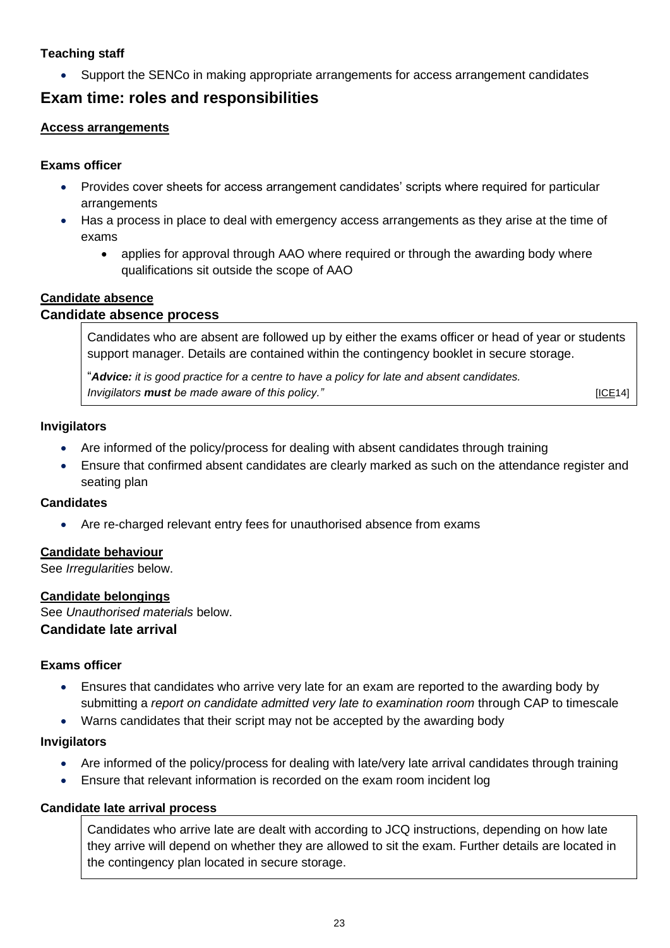## **Teaching staff**

• Support the SENCo in making appropriate arrangements for access arrangement candidates

## <span id="page-22-0"></span>**Exam time: roles and responsibilities**

### <span id="page-22-1"></span>**Access arrangements**

#### **Exams officer**

- Provides cover sheets for access arrangement candidates' scripts where required for particular arrangements
- Has a process in place to deal with emergency access arrangements as they arise at the time of exams
	- applies for approval through AAO where required or through the awarding body where qualifications sit outside the scope of AAO

#### <span id="page-22-2"></span>**Candidate absence**

#### <span id="page-22-3"></span>**Candidate absence process**

Candidates who are absent are followed up by either the exams officer or head of year or students support manager. Details are contained within the contingency booklet in secure storage.

"*Advice: it is good practice for a centre to have a policy for late and absent candidates. Invigilators must be made aware of this policy." Invigilators <b><i>IICE14* [\[ICE1](http://www.jcq.org.uk/exams-office/ice---instructions-for-conducting-examinations)4]

#### **Invigilators**

- Are informed of the policy/process for dealing with absent candidates through training
- Ensure that confirmed absent candidates are clearly marked as such on the attendance register and seating plan

#### **Candidates**

• Are re-charged relevant entry fees for unauthorised absence from exams

## <span id="page-22-4"></span>**Candidate behaviour**

See *Irregularities* below.

## <span id="page-22-5"></span>**Candidate belongings**

<span id="page-22-6"></span>See *Unauthorised materials* below. **Candidate late arrival**

#### **Exams officer**

- Ensures that candidates who arrive very late for an exam are reported to the awarding body by submitting a *report on candidate admitted very late to examination room* through CAP to timescale
- Warns candidates that their script may not be accepted by the awarding body

#### **Invigilators**

- Are informed of the policy/process for dealing with late/very late arrival candidates through training
- Ensure that relevant information is recorded on the exam room incident log

#### <span id="page-22-7"></span>**Candidate late arrival process**

Candidates who arrive late are dealt with according to JCQ instructions, depending on how late they arrive will depend on whether they are allowed to sit the exam. Further details are located in the contingency plan located in secure storage.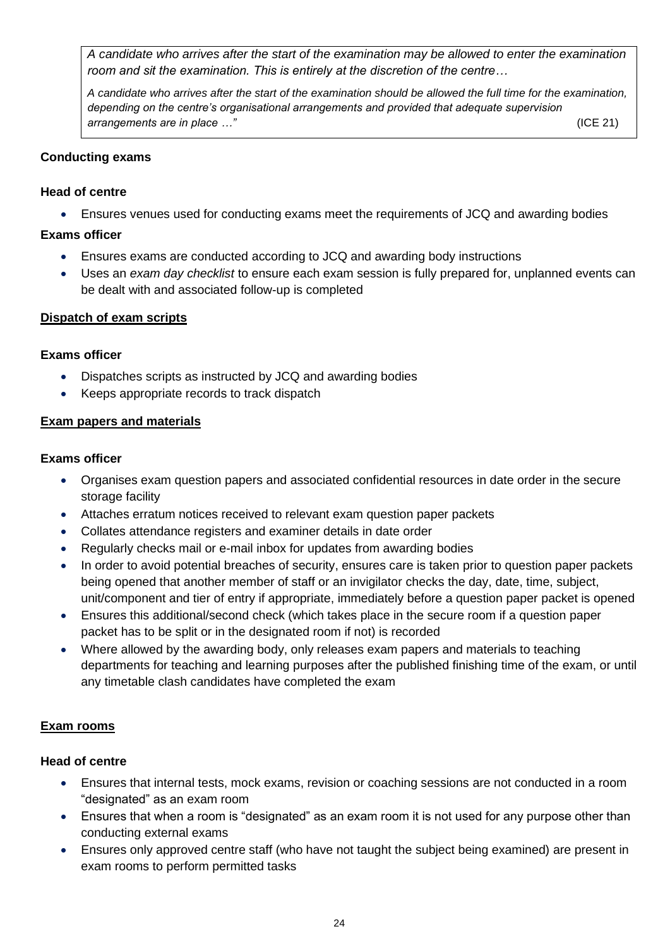*A candidate who arrives after the start of the examination may be allowed to enter the examination room and sit the examination. This is entirely at the discretion of the centre…*

*A candidate who arrives after the start of the examination should be allowed the full time for the examination, depending on the centre's organisational arrangements and provided that adequate supervision arrangements are in place …"* (ICE 21)

#### <span id="page-23-0"></span>**Conducting exams**

#### **Head of centre**

• Ensures venues used for conducting exams meet the requirements of JCQ and awarding bodies

#### **Exams officer**

- Ensures exams are conducted according to JCQ and awarding body instructions
- Uses an *exam day checklist* to ensure each exam session is fully prepared for, unplanned events can be dealt with and associated follow-up is completed

#### <span id="page-23-1"></span>**Dispatch of exam scripts**

#### **Exams officer**

- Dispatches scripts as instructed by JCQ and awarding bodies
- Keeps appropriate records to track dispatch

#### <span id="page-23-2"></span>**Exam papers and materials**

#### **Exams officer**

- Organises exam question papers and associated confidential resources in date order in the secure storage facility
- Attaches erratum notices received to relevant exam question paper packets
- Collates attendance registers and examiner details in date order
- Regularly checks mail or e-mail inbox for updates from awarding bodies
- In order to avoid potential breaches of security, ensures care is taken prior to question paper packets being opened that another member of staff or an invigilator checks the day, date, time, subject, unit/component and tier of entry if appropriate, immediately before a question paper packet is opened
- Ensures this additional/second check (which takes place in the secure room if a question paper packet has to be split or in the designated room if not) is recorded
- Where allowed by the awarding body, only releases exam papers and materials to teaching departments for teaching and learning purposes after the published finishing time of the exam, or until any timetable clash candidates have completed the exam

## <span id="page-23-3"></span>**Exam rooms**

## **Head of centre**

- Ensures that internal tests, mock exams, revision or coaching sessions are not conducted in a room "designated" as an exam room
- Ensures that when a room is "designated" as an exam room it is not used for any purpose other than conducting external exams
- Ensures only approved centre staff (who have not taught the subject being examined) are present in exam rooms to perform permitted tasks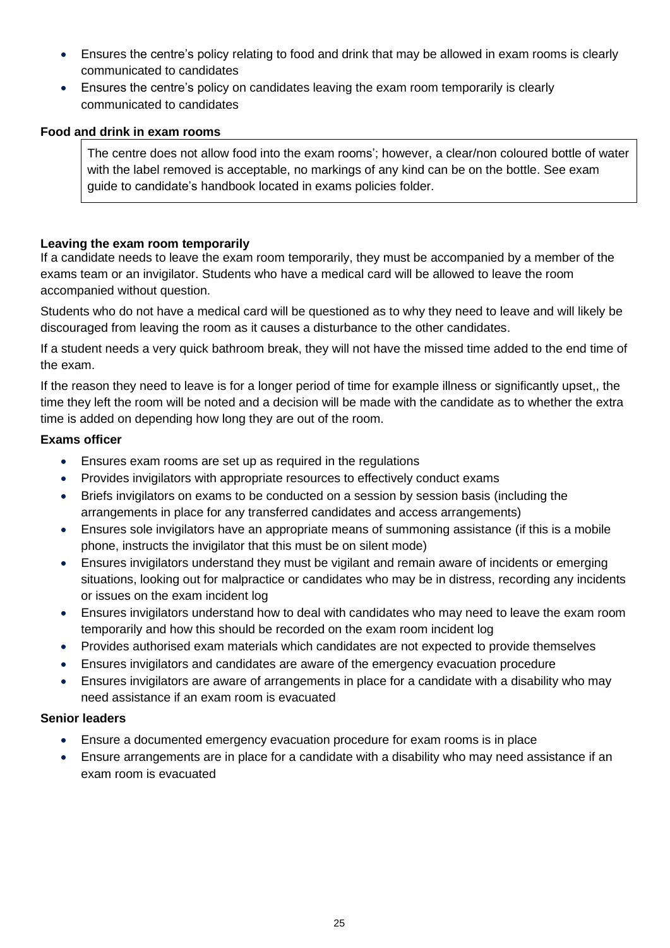- Ensures the centre's policy relating to food and drink that may be allowed in exam rooms is clearly communicated to candidates
- Ensures the centre's policy on candidates leaving the exam room temporarily is clearly communicated to candidates

## <span id="page-24-0"></span>**Food and drink in exam rooms**

The centre does not allow food into the exam rooms'; however, a clear/non coloured bottle of water with the label removed is acceptable, no markings of any kind can be on the bottle. See exam guide to candidate's handbook located in exams policies folder.

## <span id="page-24-1"></span>**Leaving the exam room temporarily**

If a candidate needs to leave the exam room temporarily, they must be accompanied by a member of the exams team or an invigilator. Students who have a medical card will be allowed to leave the room accompanied without question.

Students who do not have a medical card will be questioned as to why they need to leave and will likely be discouraged from leaving the room as it causes a disturbance to the other candidates.

If a student needs a very quick bathroom break, they will not have the missed time added to the end time of the exam.

If the reason they need to leave is for a longer period of time for example illness or significantly upset,, the time they left the room will be noted and a decision will be made with the candidate as to whether the extra time is added on depending how long they are out of the room.

## **Exams officer**

- Ensures exam rooms are set up as required in the regulations
- Provides invigilators with appropriate resources to effectively conduct exams
- Briefs invigilators on exams to be conducted on a session by session basis (including the arrangements in place for any transferred candidates and access arrangements)
- Ensures sole invigilators have an appropriate means of summoning assistance (if this is a mobile phone, instructs the invigilator that this must be on silent mode)
- Ensures invigilators understand they must be vigilant and remain aware of incidents or emerging situations, looking out for malpractice or candidates who may be in distress, recording any incidents or issues on the exam incident log
- Ensures invigilators understand how to deal with candidates who may need to leave the exam room temporarily and how this should be recorded on the exam room incident log
- Provides authorised exam materials which candidates are not expected to provide themselves
- Ensures invigilators and candidates are aware of the emergency evacuation procedure
- Ensures invigilators are aware of arrangements in place for a candidate with a disability who may need assistance if an exam room is evacuated

## **Senior leaders**

- Ensure a documented emergency evacuation procedure for exam rooms is in place
- <span id="page-24-2"></span>• Ensure arrangements are in place for a candidate with a disability who may need assistance if an exam room is evacuated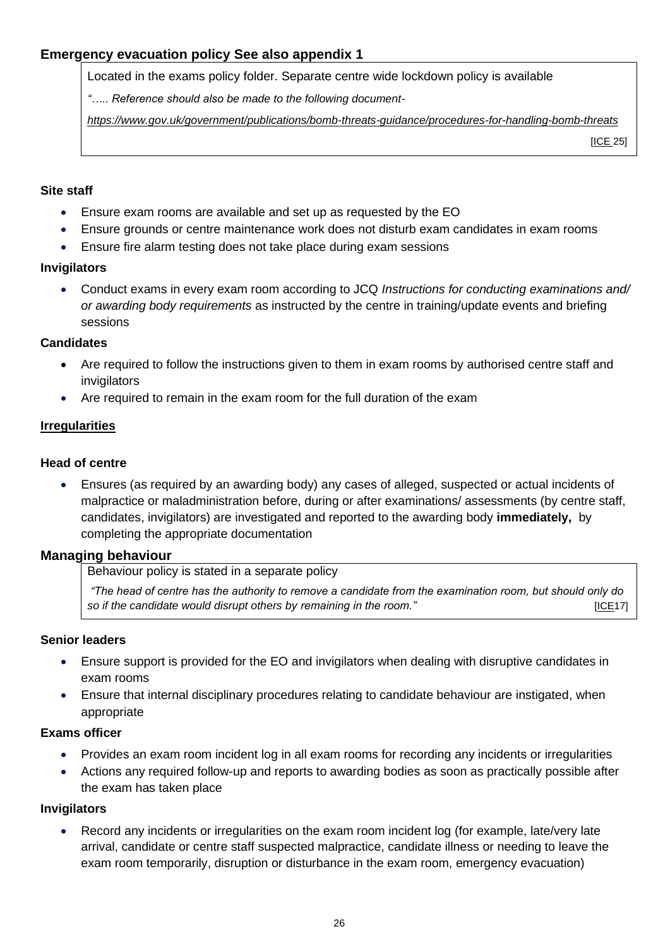## **Emergency evacuation policy See also appendix 1**

Located in the exams policy folder. Separate centre wide lockdown policy is available

*"….. Reference should also be made to the following document-*

*<https://www.gov.uk/government/publications/bomb-threats-guidance/procedures-for-handling-bomb-threats>*

[\[ICE](http://www.jcq.org.uk/exams-office/ice---instructions-for-conducting-examinations) 25]

#### **Site staff**

- Ensure exam rooms are available and set up as requested by the EO
- Ensure grounds or centre maintenance work does not disturb exam candidates in exam rooms
- Ensure fire alarm testing does not take place during exam sessions

#### **Invigilators**

• Conduct exams in every exam room according to JCQ *Instructions for conducting examinations and/ or awarding body requirements* as instructed by the centre in training/update events and briefing sessions

#### **Candidates**

- Are required to follow the instructions given to them in exam rooms by authorised centre staff and invigilators
- Are required to remain in the exam room for the full duration of the exam

#### <span id="page-25-0"></span>**Irregularities**

#### **Head of centre**

• Ensures (as required by an awarding body) any cases of alleged, suspected or actual incidents of malpractice or maladministration before, during or after examinations/ assessments (by centre staff, candidates, invigilators) are investigated and reported to the awarding body **immediately,** by completing the appropriate documentation

#### <span id="page-25-1"></span>**Managing behaviour**

Behaviour policy is stated in a separate policy

*"The head of centre has the authority to remove a candidate from the examination room, but should only do so if the candidate would disrupt others by remaining in the room." [\[ICE1](http://www.jcq.org.uk/exams-office/ice---instructions-for-conducting-examinations)7]* 

#### **Senior leaders**

- Ensure support is provided for the EO and invigilators when dealing with disruptive candidates in exam rooms
- Ensure that internal disciplinary procedures relating to candidate behaviour are instigated, when appropriate

#### **Exams officer**

- Provides an exam room incident log in all exam rooms for recording any incidents or irregularities
- Actions any required follow-up and reports to awarding bodies as soon as practically possible after the exam has taken place

#### **Invigilators**

Record any incidents or irregularities on the exam room incident log (for example, late/very late arrival, candidate or centre staff suspected malpractice, candidate illness or needing to leave the exam room temporarily, disruption or disturbance in the exam room, emergency evacuation)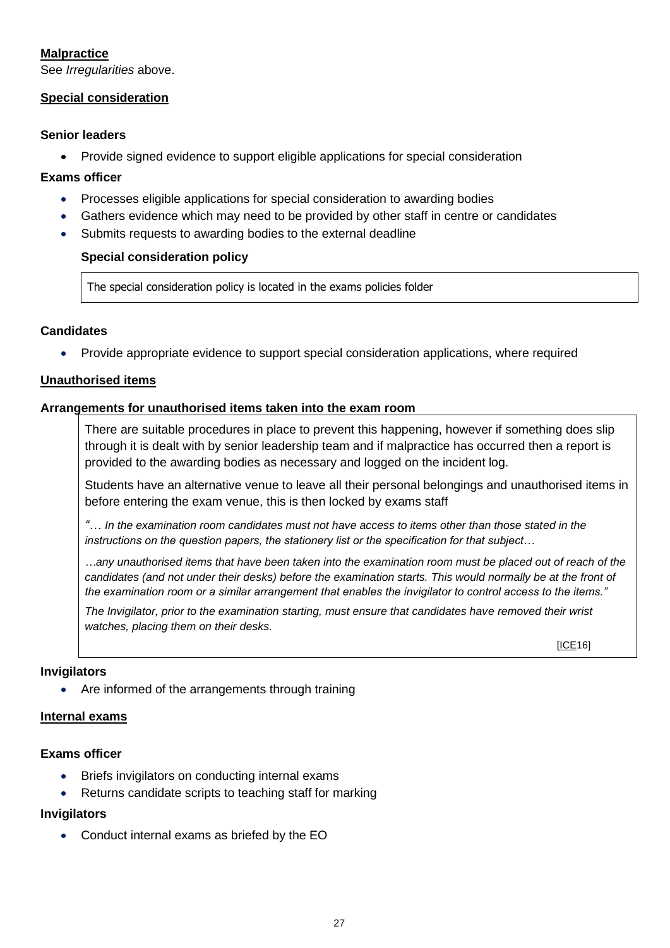## <span id="page-26-0"></span>**Malpractice**

See *Irregularities* above.

#### <span id="page-26-1"></span>**Special consideration**

#### **Senior leaders**

• Provide signed evidence to support eligible applications for special consideration

#### **Exams officer**

- Processes eligible applications for special consideration to awarding bodies
- Gathers evidence which may need to be provided by other staff in centre or candidates
- <span id="page-26-2"></span>Submits requests to awarding bodies to the external deadline

#### **Special consideration policy**

The special consideration policy is located in the exams policies folder

#### **Candidates**

• Provide appropriate evidence to support special consideration applications, where required

#### <span id="page-26-3"></span>**Unauthorised items**

#### <span id="page-26-4"></span>**Arrangements for unauthorised items taken into the exam room**

There are suitable procedures in place to prevent this happening, however if something does slip through it is dealt with by senior leadership team and if malpractice has occurred then a report is provided to the awarding bodies as necessary and logged on the incident log.

Students have an alternative venue to leave all their personal belongings and unauthorised items in before entering the exam venue, this is then locked by exams staff

*"… In the examination room candidates must not have access to items other than those stated in the instructions on the question papers, the stationery list or the specification for that subject…*

*…any unauthorised items that have been taken into the examination room must be placed out of reach of the*  candidates (and not under their desks) before the examination starts. This would normally be at the front of *the examination room or a similar arrangement that enables the invigilator to control access to the items."*

*The Invigilator, prior to the examination starting, must ensure that candidates have removed their wrist watches, placing them on their desks.* 

[\[ICE1](http://www.jcq.org.uk/exams-office/ice---instructions-for-conducting-examinations)6]

#### **Invigilators**

• Are informed of the arrangements through training

#### <span id="page-26-5"></span>**Internal exams**

#### **Exams officer**

- Briefs invigilators on conducting internal exams
- Returns candidate scripts to teaching staff for marking

#### **Invigilators**

• Conduct internal exams as briefed by the EO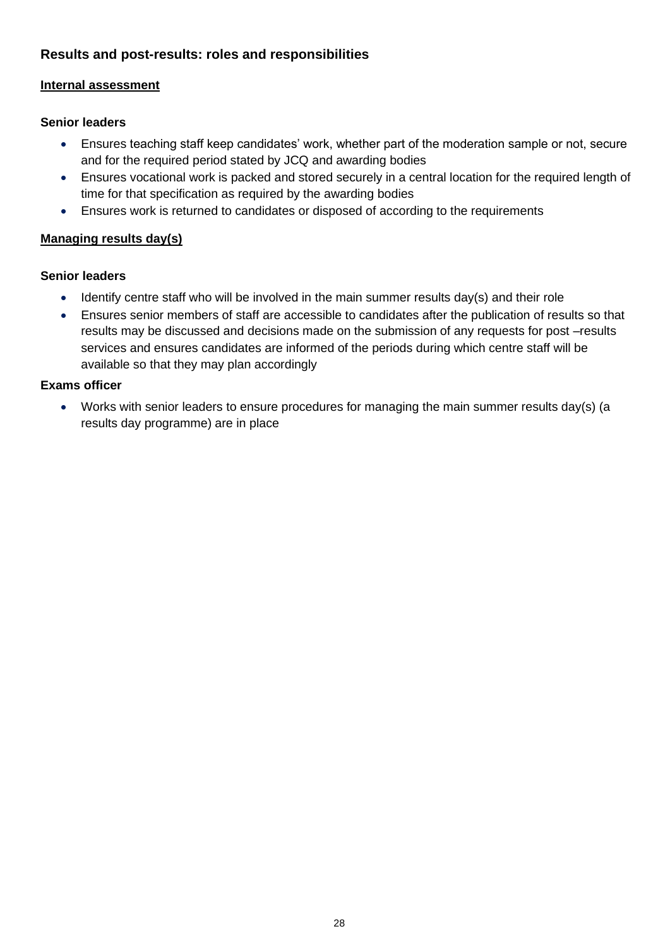## <span id="page-27-0"></span>**Results and post-results: roles and responsibilities**

## <span id="page-27-1"></span>**Internal assessment**

### **Senior leaders**

- Ensures teaching staff keep candidates' work, whether part of the moderation sample or not, secure and for the required period stated by JCQ and awarding bodies
- Ensures vocational work is packed and stored securely in a central location for the required length of time for that specification as required by the awarding bodies
- Ensures work is returned to candidates or disposed of according to the requirements

## <span id="page-27-2"></span>**Managing results day(s)**

#### **Senior leaders**

- Identify centre staff who will be involved in the main summer results day(s) and their role
- Ensures senior members of staff are accessible to candidates after the publication of results so that results may be discussed and decisions made on the submission of any requests for post –results services and ensures candidates are informed of the periods during which centre staff will be available so that they may plan accordingly

#### **Exams officer**

<span id="page-27-3"></span>• Works with senior leaders to ensure procedures for managing the main summer results day(s) (a results day programme) are in place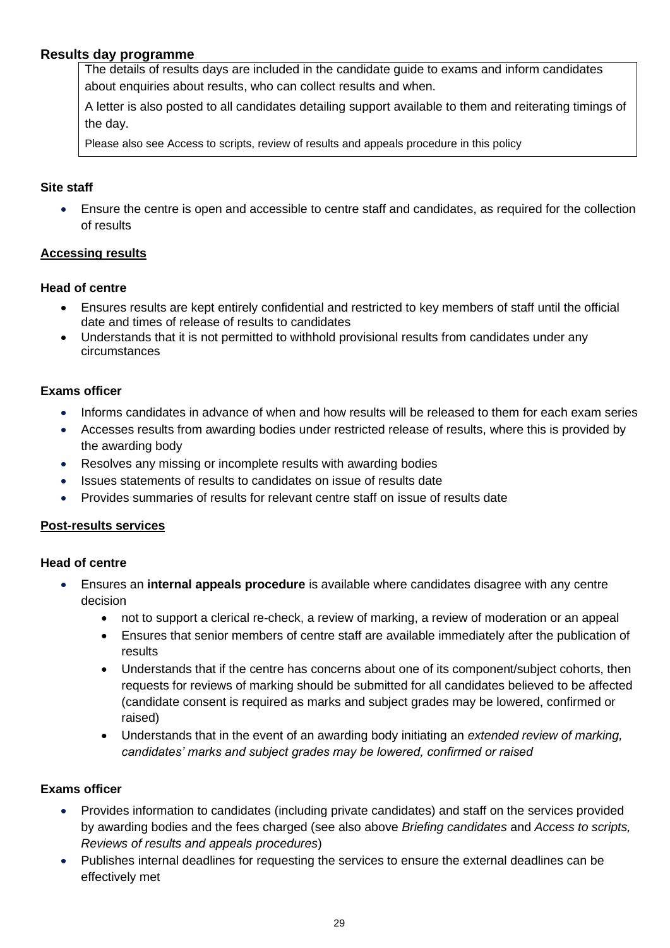## **Results day programme**

The details of results days are included in the candidate guide to exams and inform candidates about enquiries about results, who can collect results and when.

A letter is also posted to all candidates detailing support available to them and reiterating timings of the day.

Please also see Access to scripts, review of results and appeals procedure in this policy

#### **Site staff**

• Ensure the centre is open and accessible to centre staff and candidates, as required for the collection of results

#### <span id="page-28-0"></span>**Accessing results**

#### **Head of centre**

- Ensures results are kept entirely confidential and restricted to key members of staff until the official date and times of release of results to candidates
- Understands that it is not permitted to withhold provisional results from candidates under any circumstances

#### **Exams officer**

- Informs candidates in advance of when and how results will be released to them for each exam series
- Accesses results from awarding bodies under restricted release of results, where this is provided by the awarding body
- Resolves any missing or incomplete results with awarding bodies
- Issues statements of results to candidates on issue of results date
- Provides summaries of results for relevant centre staff on issue of results date

#### <span id="page-28-1"></span>**Post-results services**

#### **Head of centre**

- Ensures an **internal appeals procedure** is available where candidates disagree with any centre decision
	- not to support a clerical re-check, a review of marking, a review of moderation or an appeal
	- Ensures that senior members of centre staff are available immediately after the publication of results
	- Understands that if the centre has concerns about one of its component/subject cohorts, then requests for reviews of marking should be submitted for all candidates believed to be affected (candidate consent is required as marks and subject grades may be lowered, confirmed or raised)
	- Understands that in the event of an awarding body initiating an *extended review of marking, candidates' marks and subject grades may be lowered, confirmed or raised*

## **Exams officer**

- Provides information to candidates (including private candidates) and staff on the services provided by awarding bodies and the fees charged (see also above *Briefing candidates* and *Access to scripts, Reviews of results and appeals procedures*)
- Publishes internal deadlines for requesting the services to ensure the external deadlines can be effectively met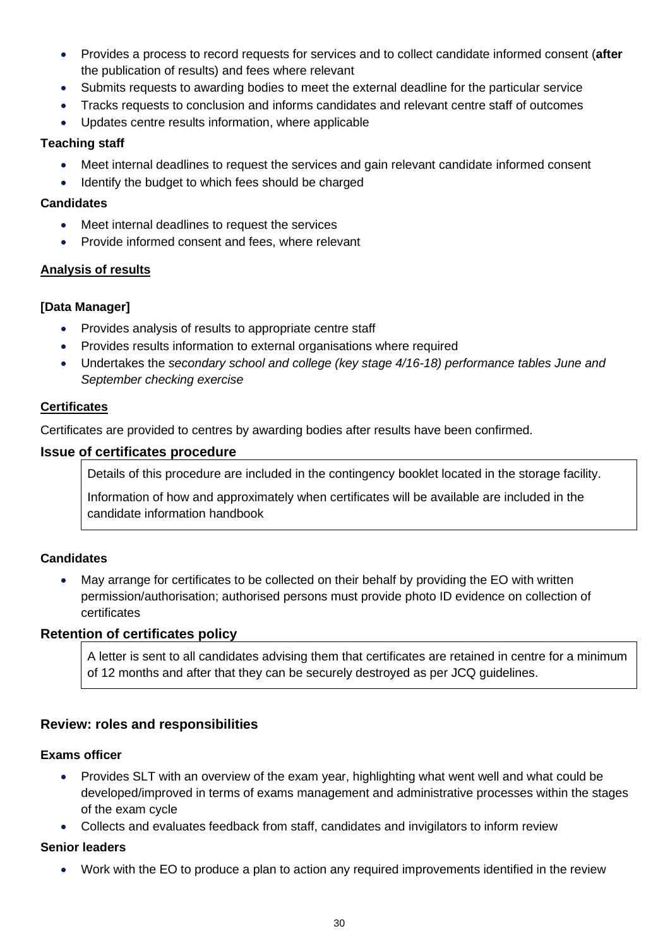- Provides a process to record requests for services and to collect candidate informed consent (**after**  the publication of results) and fees where relevant
- Submits requests to awarding bodies to meet the external deadline for the particular service
- Tracks requests to conclusion and informs candidates and relevant centre staff of outcomes
- Updates centre results information, where applicable

## **Teaching staff**

- Meet internal deadlines to request the services and gain relevant candidate informed consent
- Identify the budget to which fees should be charged

#### **Candidates**

- Meet internal deadlines to request the services
- Provide informed consent and fees, where relevant

## <span id="page-29-0"></span>**Analysis of results**

## **[Data Manager]**

- Provides analysis of results to appropriate centre staff
- Provides results information to external organisations where required
- Undertakes the *secondary school and college (key stage 4/16-18) performance tables June and September checking exercise*

## <span id="page-29-1"></span>**Certificates**

Certificates are provided to centres by awarding bodies after results have been confirmed.

#### <span id="page-29-2"></span>**Issue of certificates procedure**

Details of this procedure are included in the contingency booklet located in the storage facility.

Information of how and approximately when certificates will be available are included in the candidate information handbook

## **Candidates**

• May arrange for certificates to be collected on their behalf by providing the EO with written permission/authorisation; authorised persons must provide photo ID evidence on collection of certificates

#### <span id="page-29-3"></span>**Retention of certificates policy**

A letter is sent to all candidates advising them that certificates are retained in centre for a minimum of 12 months and after that they can be securely destroyed as per JCQ guidelines.

## <span id="page-29-4"></span>**Review: roles and responsibilities**

## **Exams officer**

- Provides SLT with an overview of the exam year, highlighting what went well and what could be developed/improved in terms of exams management and administrative processes within the stages of the exam cycle
- Collects and evaluates feedback from staff, candidates and invigilators to inform review

## **Senior leaders**

• Work with the EO to produce a plan to action any required improvements identified in the review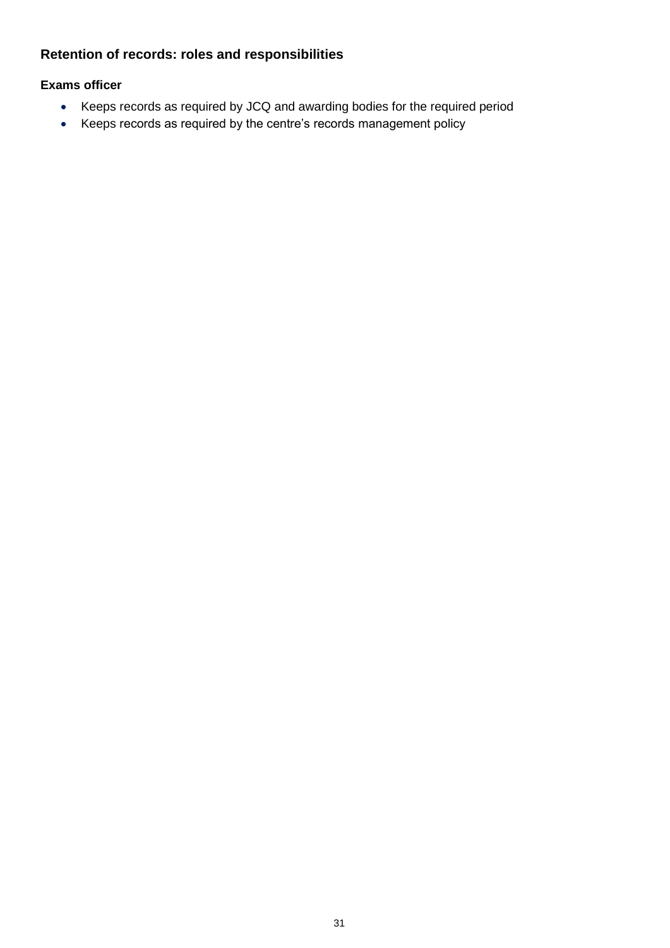## <span id="page-30-0"></span>**Retention of records: roles and responsibilities**

## **Exams officer**

- Keeps records as required by JCQ and awarding bodies for the required period
- Keeps records as required by the centre's records management policy